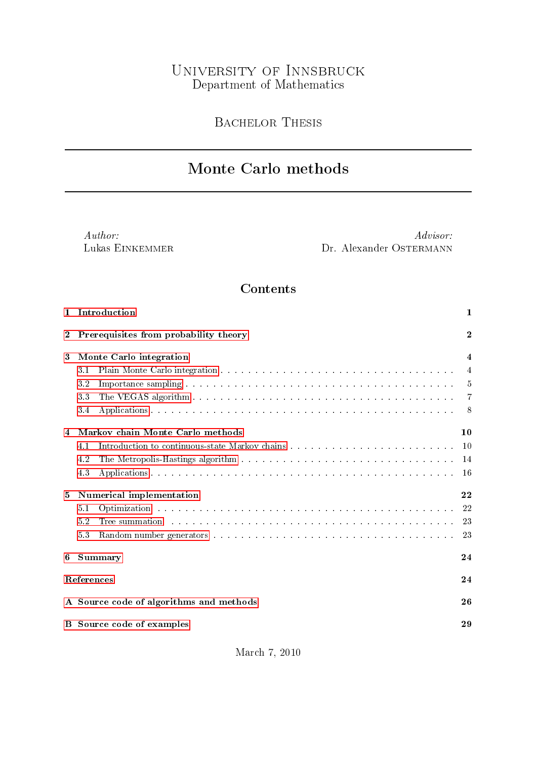## University of Innsbruck Department of Mathematics

Bachelor Thesis

# Monte Carlo methods

Author: Lukas Einkemmer

Advisor: Dr. Alexander OSTERMANN

## Contents

| $\mathbf{1}$ | Introduction                                                                                                                                                                                                                          | 1                   |  |  |  |  |  |
|--------------|---------------------------------------------------------------------------------------------------------------------------------------------------------------------------------------------------------------------------------------|---------------------|--|--|--|--|--|
| $\bf{2}$     | $\overline{2}$<br>Prerequisites from probability theory                                                                                                                                                                               |                     |  |  |  |  |  |
| 3            | Monte Carlo integration                                                                                                                                                                                                               | $\overline{\bf{4}}$ |  |  |  |  |  |
|              | 3.1                                                                                                                                                                                                                                   | $\overline{4}$      |  |  |  |  |  |
|              | 3.2                                                                                                                                                                                                                                   | -5                  |  |  |  |  |  |
|              | 3.3                                                                                                                                                                                                                                   | -7                  |  |  |  |  |  |
|              | 3.4                                                                                                                                                                                                                                   | - 8                 |  |  |  |  |  |
| 4            | Markov chain Monte Carlo methods                                                                                                                                                                                                      | 10                  |  |  |  |  |  |
|              | 4.1                                                                                                                                                                                                                                   | 10                  |  |  |  |  |  |
|              | 4.2                                                                                                                                                                                                                                   | 14                  |  |  |  |  |  |
|              | 4.3                                                                                                                                                                                                                                   | 16                  |  |  |  |  |  |
| 5            | Numerical implementation                                                                                                                                                                                                              | 22                  |  |  |  |  |  |
|              | 5.1                                                                                                                                                                                                                                   | 22                  |  |  |  |  |  |
|              | Tree summation and contain and contained a series of the summation and contained a series of the series of the series of the series of the series of the series of the series of the series of the series of the series of the<br>5.2 | 23                  |  |  |  |  |  |
|              | 5.3                                                                                                                                                                                                                                   | 23                  |  |  |  |  |  |
| 6            | <b>Summary</b>                                                                                                                                                                                                                        | 24                  |  |  |  |  |  |
|              | References                                                                                                                                                                                                                            | 24                  |  |  |  |  |  |
|              | A Source code of algorithms and methods                                                                                                                                                                                               | 26                  |  |  |  |  |  |
| в            | Source code of examples                                                                                                                                                                                                               | 29                  |  |  |  |  |  |
|              |                                                                                                                                                                                                                                       |                     |  |  |  |  |  |

March 7, 2010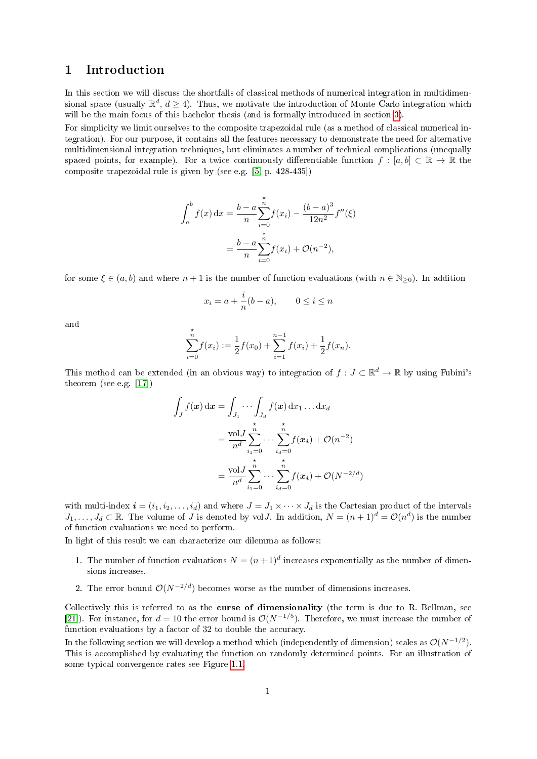## <span id="page-1-0"></span>1 Introduction

In this section we will discuss the shortfalls of classical methods of numerical integration in multidimensional space (usually  $\mathbb{R}^d$ ,  $d \geq 4$ ). Thus, we motivate the introduction of Monte Carlo integration which will be the main focus of this bachelor thesis (and is formally introduced in section [3\)](#page-4-0).

For simplicity we limit ourselves to the composite trapezoidal rule (as a method of classical numerical integration). For our purpose, it contains all the features necessary to demonstrate the need for alternative multidimensional integration techniques, but eliminates a number of technical complications (unequally spaced points, for example). For a twice continuously differentiable function  $f : [a, b] \subset \mathbb{R} \to \mathbb{R}$  the composite trapezoidal rule is given by (see e.g. [\[5,](#page-24-1) p. 428-435])

$$
\int_{a}^{b} f(x) dx = \frac{b - a}{n} \sum_{i=0}^{n} f(x_i) - \frac{(b - a)^{3}}{12n^{2}} f''(\xi)
$$

$$
= \frac{b - a}{n} \sum_{i=0}^{n} f(x_i) + \mathcal{O}(n^{-2}),
$$

for some  $\xi \in (a, b)$  and where  $n + 1$  is the number of function evaluations (with  $n \in \mathbb{N}_{\geq 0}$ ). In addition

$$
x_i = a + \frac{i}{n}(b - a), \qquad 0 \le i \le n
$$

and

$$
\sum_{i=0}^{\stackrel{\star}{n}} f(x_i) := \frac{1}{2} f(x_0) + \sum_{i=1}^{n-1} f(x_i) + \frac{1}{2} f(x_n).
$$

This method can be extended (in an obvious way) to integration of  $f: J \subset \mathbb{R}^d \to \mathbb{R}$  by using Fubini's theorem (see e.g. [\[17\]](#page-25-0))

$$
\int_J f(\boldsymbol{x}) \,d\boldsymbol{x} = \int_{J_1} \cdots \int_{J_d} f(\boldsymbol{x}) \,d\boldsymbol{x}_1 \ldots dx_d
$$
\n
$$
= \frac{\text{vol} J}{n^d} \sum_{i_1=0}^n \cdots \sum_{i_d=0}^n f(\boldsymbol{x_i}) + \mathcal{O}(n^{-2})
$$
\n
$$
= \frac{\text{vol} J}{n^d} \sum_{i_1=0}^n \cdots \sum_{i_d=0}^n f(\boldsymbol{x_i}) + \mathcal{O}(N^{-2/d})
$$

with multi-index  $\mathbf{i} = (i_1, i_2, \dots, i_d)$  and where  $J = J_1 \times \dots \times J_d$  is the Cartesian product of the intervals  $J_1,\ldots,J_d\subset\mathbb{R}$ . The volume of J is denoted by volJ. In addition,  $N=(n+1)^d=\mathcal{O}(n^d)$  is the number of function evaluations we need to perform.

In light of this result we can characterize our dilemma as follows:

- 1. The number of function evaluations  $N = (n+1)^d$  increases exponentially as the number of dimensions increases.
- 2. The error bound  $\mathcal{O}(N^{-2/d})$  becomes worse as the number of dimensions increases.

Collectively this is referred to as the curse of dimensionality (the term is due to R. Bellman, see [\[21\]](#page-25-1)). For instance, for  $d = 10$  the error bound is  $\mathcal{O}(N^{-1/5})$ . Therefore, we must increase the number of function evaluations by a factor of 32 to double the accuracy.

In the following section we will develop a method which (independently of dimension) scales as  $\mathcal{O}(N^{-1/2})$ . This is accomplished by evaluating the function on randomly determined points. For an illustration of some typical convergence rates see Figure [1.1.](#page-2-1)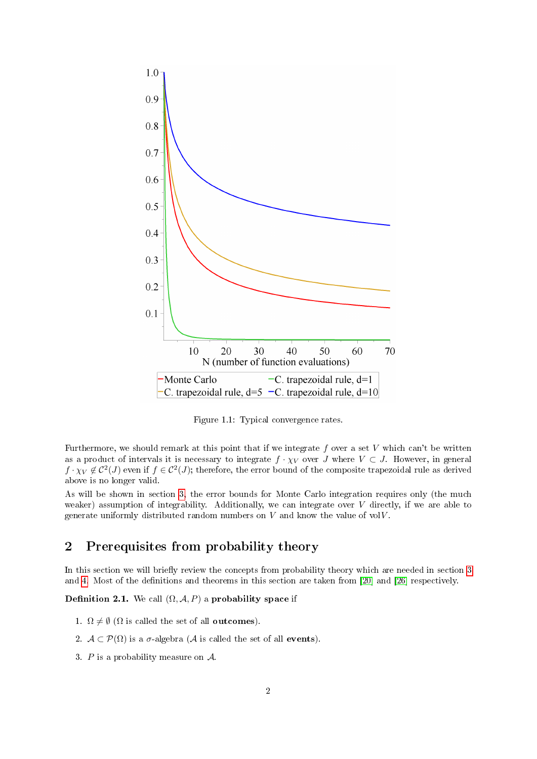

<span id="page-2-1"></span>Figure 1.1: Typical convergence rates.

Furthermore, we should remark at this point that if we integrate  $f$  over a set  $V$  which can't be written as a product of intervals it is necessary to integrate  $f \cdot \chi_V$  over J where  $V \subset J$ . However, in general  $f\cdot \chi_V\not\in \mathcal{C}^2(J)$  even if  $f\in \mathcal{C}^2(J)$ ; therefore, the error bound of the composite trapezoidal rule as derived above is no longer valid.

As will be shown in section [3,](#page-4-0) the error bounds for Monte Carlo integration requires only (the much weaker) assumption of integrability. Additionally, we can integrate over  $V$  directly, if we are able to generate uniformly distributed random numbers on  $V$  and know the value of vol $V$ .

## <span id="page-2-0"></span>2 Prerequisites from probability theory

In this section we will briefly review the concepts from probability theory which are needed in section [3](#page-4-0) and [4.](#page-10-0) Most of the definitions and theorems in this section are taken from [\[20\]](#page-25-2) and [\[26\]](#page-25-3) respectively.

Definition 2.1. We call  $(\Omega, \mathcal{A}, P)$  a probability space if

- 1.  $\Omega \neq \emptyset$  ( $\Omega$  is called the set of all **outcomes**).
- 2.  $\mathcal{A} \subset \mathcal{P}(\Omega)$  is a  $\sigma$ -algebra ( $\mathcal A$  is called the set of all **events**).
- 3. P is a probability measure on  $\mathcal{A}$ .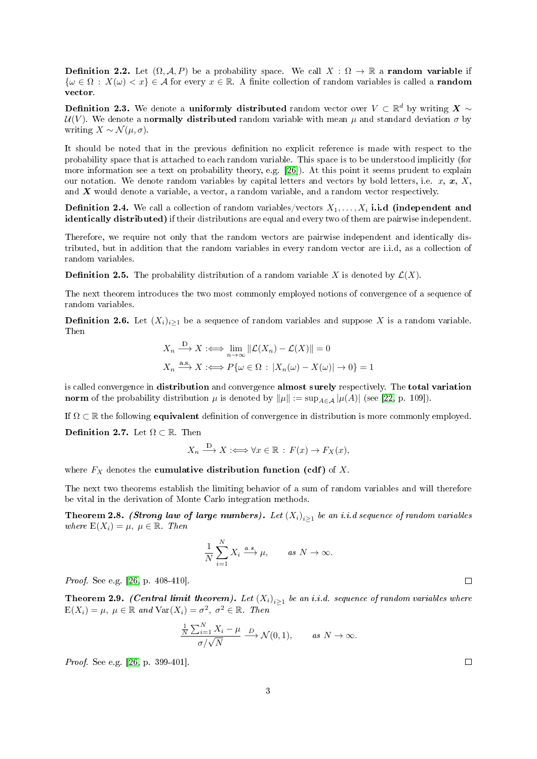**Definition 2.2.** Let  $(\Omega, \mathcal{A}, P)$  be a probability space. We call  $X : \Omega \to \mathbb{R}$  a **random variable** if  $\{\omega \in \Omega : X(\omega) < x\} \in \mathcal{A}$  for every  $x \in \mathbb{R}$ . A finite collection of random variables is called a **random** vector.

Definition 2.3. We denote a uniformly distributed random vector over  $V \subset \mathbb{R}^d$  by writing  $\boldsymbol{X} \sim$  $U(V)$ . We denote a normally distributed random variable with mean  $\mu$  and standard deviation  $\sigma$  by writing  $X \sim \mathcal{N}(\mu, \sigma)$ .

It should be noted that in the previous definition no explicit reference is made with respect to the probability space that is attached to each random variable. This space is to be understood implicitly (for more information see a text on probability theory, e.g. [\[26\]](#page-25-3)). At this point it seems prudent to explain our notation. We denote random variables by capital letters and vectors by bold letters, i.e.  $x, x, X$ , and  $\boldsymbol{X}$  would denote a variable, a vector, a random variable, and a random vector respectively.

**Definition 2.4.** We call a collection of random variables/vectors  $X_1, \ldots, X_i$  i.i.d (independent and identically distributed) if their distributions are equal and every two of them are pairwise independent.

Therefore, we require not only that the random vectors are pairwise independent and identically distributed, but in addition that the random variables in every random vector are i.i.d, as a collection of random variables.

**Definition 2.5.** The probability distribution of a random variable X is denoted by  $\mathcal{L}(X)$ .

The next theorem introduces the two most commonly employed notions of convergence of a sequence of random variables.

**Definition 2.6.** Let  $(X_i)_{i>1}$  be a sequence of random variables and suppose X is a random variable. Then

$$
X_n \xrightarrow{\mathcal{D}} X := \lim_{n \to \infty} ||\mathcal{L}(X_n) - \mathcal{L}(X)|| = 0
$$
  

$$
X_n \xrightarrow{\text{a.s.}} X := P\{\omega \in \Omega : |X_n(\omega) - X(\omega)| \to 0\} = 1
$$

is called convergence in distribution and convergence almost surely respectively. The total variation norm of the probability distribution  $\mu$  is denoted by  $\|\mu\| := \sup_{A \in \mathcal{A}} |\mu(A)|$  (see [\[22,](#page-25-4) p. 109]).

If  $\Omega \subset \mathbb{R}$  the following **equivalent** definition of convergence in distribution is more commonly employed. Definition 2.7. Let  $\Omega \subset \mathbb{R}$ . Then

$$
X_n \xrightarrow{D} X \iff \forall x \in \mathbb{R} : F(x) \to F_X(x),
$$

where  $F_X$  denotes the **cumulative distribution function (cdf)** of X.

The next two theorems establish the limiting behavior of a sum of random variables and will therefore be vital in the derivation of Monte Carlo integration methods.

<span id="page-3-0"></span>**Theorem 2.8. (Strong law of large numbers).** Let  $(X_i)_{i\geq 1}$  be an i.i.d sequence of random variables where  $E(X_i) = \mu, \ \mu \in \mathbb{R}$ . Then

$$
\frac{1}{N} \sum_{i=1}^{N} X_i \xrightarrow{a.s.} \mu, \qquad \text{as } N \to \infty.
$$

Proof. See e.g. [\[26,](#page-25-3) p. 408-410].

<span id="page-3-1"></span>**Theorem 2.9.** (Central limit theorem). Let  $(X_i)_{i\geq 1}$  be an i.i.d. sequence of random variables where  $E(X_i) = \mu, \ \mu \in \mathbb{R} \ \text{and} \ \text{Var}(X_i) = \sigma^2, \ \sigma^2 \in \mathbb{R}. \ \text{Then}$ 

$$
\frac{\frac{1}{N}\sum_{i=1}^{N}X_i - \mu}{\sigma/\sqrt{N}} \xrightarrow{D} \mathcal{N}(0,1), \quad \text{as } N \to \infty.
$$

Proof. See e.g. [\[26,](#page-25-3) p. 399-401].

 $\Box$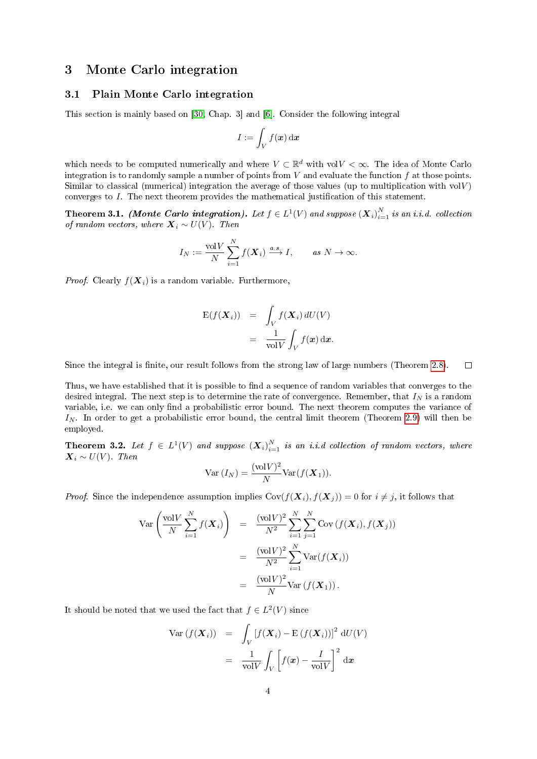## <span id="page-4-0"></span>3 Monte Carlo integration

#### <span id="page-4-1"></span>3.1 Plain Monte Carlo integration

This section is mainly based on [\[30,](#page-25-5) Chap. 3] and [\[6\]](#page-24-2). Consider the following integral

$$
I:=\int_V f(\boldsymbol{x})\,\mathrm{d}\boldsymbol{x}
$$

which needs to be computed numerically and where  $V \subset \mathbb{R}^d$  with vol $V < \infty$ . The idea of Monte Carlo integration is to randomly sample a number of points from  $V$  and evaluate the function  $f$  at those points. Similar to classical (numerical) integration the average of those values (up to multiplication with  $volV$ ) converges to I. The next theorem provides the mathematical justification of this statement.

Theorem 3.1. (Monte Carlo integration). Let  $f\in L^1(V)$  and suppose  $\left(\boldsymbol{X}_i\right)_{i=1}^N$  is an i.i.d. collection of random vectors, where  $\mathbf{X}_i \sim U(V)$ . Then

$$
I_N := \frac{\text{vol}V}{N} \sum_{i=1}^N f(\boldsymbol{X}_i) \xrightarrow{a.s.} I, \quad as \ N \to \infty.
$$

*Proof.* Clearly  $f(\boldsymbol{X}_i)$  is a random variable. Furthermore,

$$
\begin{aligned} \mathbf{E}(f(\mathbf{X}_i)) &= \int_V f(\mathbf{X}_i) \, dU(V) \\ &= \frac{1}{\text{vol}V} \int_V f(\mathbf{x}) \, \mathrm{d}\mathbf{x}. \end{aligned}
$$

Since the integral is finite, our result follows from the strong law of large numbers (Theorem [2.8\)](#page-3-0).  $\Box$ 

Thus, we have established that it is possible to find a sequence of random variables that converges to the desired integral. The next step is to determine the rate of convergence. Remember, that  $I<sub>N</sub>$  is a random variable, i.e. we can only find a probabilistic error bound. The next theorem computes the variance of  $I_N$ . In order to get a probabilistic error bound, the central limit theorem (Theorem [2.9\)](#page-3-1) will then be employed.

<span id="page-4-2"></span>**Theorem 3.2.** Let  $f \in L^1(V)$  and suppose  $(X_i)_{i=1}^N$  is an i.i.d collection of random vectors, where  $\mathbf{X}_i \sim U(V)$ . Then

$$
\text{Var}(I_N) = \frac{(\text{vol}V)^2}{N} \text{Var}(f(\boldsymbol{X}_1)).
$$

*Proof.* Since the independence assumption implies  $Cov(f(\boldsymbol{X}_i), f(\boldsymbol{X}_j)) = 0$  for  $i \neq j$ , it follows that

$$
\operatorname{Var}\left(\frac{\operatorname{vol}V}{N}\sum_{i=1}^{N}f(\boldsymbol{X}_{i})\right) = \frac{(\operatorname{vol}V)^{2}}{N^{2}}\sum_{i=1}^{N}\sum_{j=1}^{N}\operatorname{Cov}\left(f(\boldsymbol{X}_{i}),f(\boldsymbol{X}_{j})\right)
$$

$$
= \frac{(\operatorname{vol}V)^{2}}{N^{2}}\sum_{i=1}^{N}\operatorname{Var}(f(\boldsymbol{X}_{i}))
$$

$$
= \frac{(\operatorname{vol}V)^{2}}{N}\operatorname{Var}(f(\boldsymbol{X}_{1})).
$$

It should be noted that we used the fact that  $f \in L^2(V)$  since

$$
\begin{aligned}\n\text{Var}\left(f(\boldsymbol{X}_{i})\right) &= \int_{V} \left[f(\boldsymbol{X}_{i}) - \mathbf{E}\left(f(\boldsymbol{X}_{i})\right)\right]^{2} \, \mathrm{d}U(V) \\
&= \frac{1}{\text{vol}V} \int_{V} \left[f(\boldsymbol{x}) - \frac{I}{\text{vol}V}\right]^{2} \, \mathrm{d}\boldsymbol{x}\n\end{aligned}
$$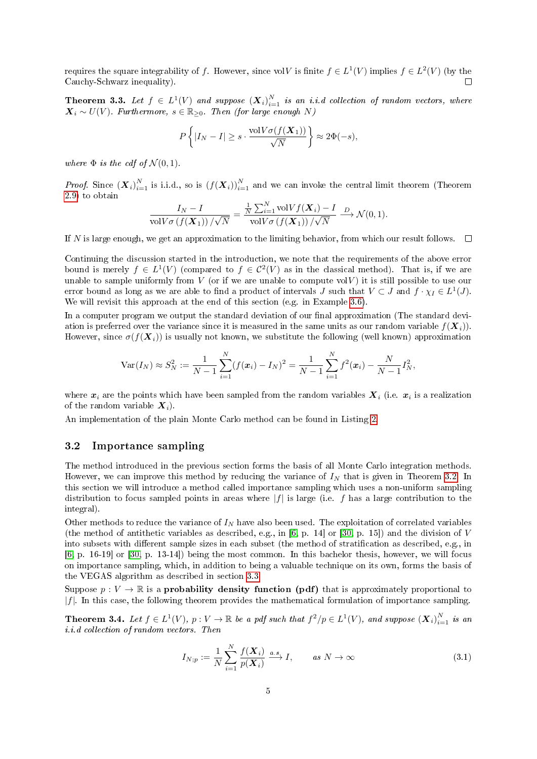requires the square integrability of f. However, since volV is finite  $f \in L^1(V)$  implies  $f \in L^2(V)$  (by the Cauchy-Schwarz inequality).  $\Box$ 

**Theorem 3.3.** Let  $f \in L^1(V)$  and suppose  $(X_i)_{i=1}^N$  is an i.i.d collection of random vectors, where  $\mathbf{X}_i \sim U(V)$ . Furthermore,  $s \in \mathbb{R}_{\geq 0}$ . Then (for large enough N)

$$
P\left\{|I_N - I| \ge s \cdot \frac{\text{vol}V\sigma(f(\mathbf{X}_1))}{\sqrt{N}}\right\} \approx 2\Phi(-s),
$$

where  $\Phi$  is the cdf of  $\mathcal{N}(0,1)$ .

*Proof.* Since  $(\boldsymbol{X}_i)_{i=1}^N$  is i.i.d., so is  $(f(\boldsymbol{X}_i))_{i=1}^N$  and we can invoke the central limit theorem (Theorem [2.9\)](#page-3-1) to obtain

$$
\frac{I_N - I}{\text{vol}V\sigma\left(f(\mathbf{X}_1)\right)/\sqrt{N}} = \frac{\frac{1}{N}\sum_{i=1}^N \text{vol}Vf(\mathbf{X}_i) - I}{\text{vol}V\sigma\left(f(\mathbf{X}_1)\right)/\sqrt{N}} \xrightarrow{D} \mathcal{N}(0, 1).
$$

If N is large enough, we get an approximation to the limiting behavior, from which our result follows.  $\square$ 

Continuing the discussion started in the introduction, we note that the requirements of the above error bound is merely  $f \in L^1(V)$  (compared to  $f \in C^2(V)$  as in the classical method). That is, if we are unable to sample uniformly from  $V$  (or if we are unable to compute vol $V$ ) it is still possible to use our error bound as long as we are able to find a product of intervals J such that  $V \subset J$  and  $f \cdot \chi_I \in L^1(J)$ . We will revisit this approach at the end of this section (e.g. in Example [3.6\)](#page-8-1).

In a computer program we output the standard deviation of our final approximation (The standard deviation is preferred over the variance since it is measured in the same units as our random variable  $f(\mathbf{X}_i)$ . However, since  $\sigma(f(\mathbf{X}_i))$  is usually not known, we substitute the following (well known) approximation

$$
\text{Var}(I_N) \approx S_N^2 := \frac{1}{N-1} \sum_{i=1}^N (f(\boldsymbol{x}_i) - I_N)^2 = \frac{1}{N-1} \sum_{i=1}^N f^2(\boldsymbol{x}_i) - \frac{N}{N-1} I_N^2,
$$

where  $x_i$  are the points which have been sampled from the random variables  $X_i$  (i.e.  $x_i$  is a realization of the random variable  $X_i$ ).

An implementation of the plain Monte Carlo method can be found in Listing [2.](#page-26-1)

#### <span id="page-5-0"></span>3.2 Importance sampling

The method introduced in the previous section forms the basis of all Monte Carlo integration methods. However, we can improve this method by reducing the variance of  $I<sub>N</sub>$  that is given in Theorem [3.2.](#page-4-2) In this section we will introduce a method called importance sampling which uses a non-uniform sampling distribution to focus sampled points in areas where  $|f|$  is large (i.e. f has a large contribution to the integral).

Other methods to reduce the variance of  $I_N$  have also been used. The exploitation of correlated variables (the method of antithetic variables as described, e.g., in [\[6,](#page-24-2) p. 14] or [\[30,](#page-25-5) p. 15]) and the division of  $V$ into subsets with different sample sizes in each subset (the method of stratification as described, e.g., in [\[6,](#page-24-2) p. 16-19] or [\[30,](#page-25-5) p. 13-14]) being the most common. In this bachelor thesis, however, we will focus on importance sampling, which, in addition to being a valuable technique on its own, forms the basis of the VEGAS algorithm as described in section [3.3.](#page-7-0)

Suppose  $p: V \to \mathbb{R}$  is a **probability density function (pdf)** that is approximately proportional to  $|f|$ . In this case, the following theorem provides the mathematical formulation of importance sampling.

**Theorem 3.4.** Let  $f \in L^1(V)$ ,  $p: V \to \mathbb{R}$  be a pdf such that  $f^2/p \in L^1(V)$ , and suppose  $(\boldsymbol{X}_i)_{i=1}^N$  is an i.i.d collection of random vectors. Then

<span id="page-5-1"></span>
$$
I_{N;p} := \frac{1}{N} \sum_{i=1}^{N} \frac{f(\boldsymbol{X}_i)}{p(\boldsymbol{X}_i)} \xrightarrow{a.s} I, \qquad \text{as } N \to \infty
$$
\n(3.1)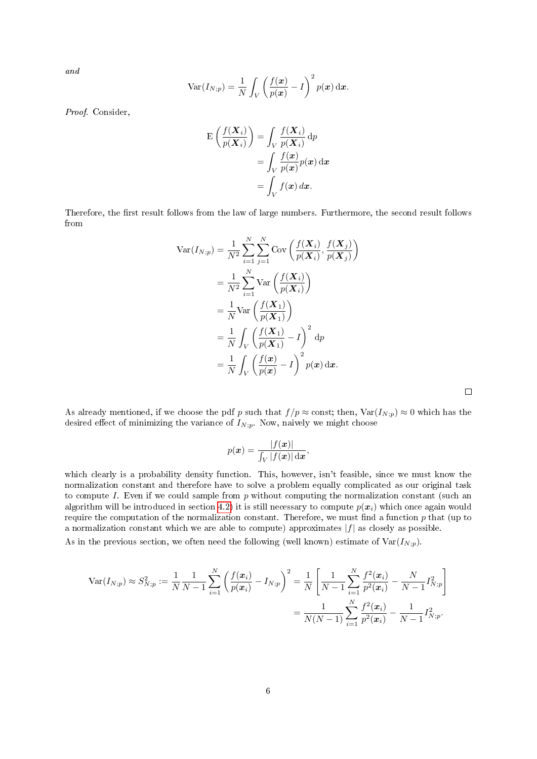and

$$
Var(I_{N;p}) = \frac{1}{N} \int_{V} \left(\frac{f(\boldsymbol{x})}{p(\boldsymbol{x})} - I\right)^2 p(\boldsymbol{x}) d\boldsymbol{x}.
$$

Proof. Consider,

$$
\mathcal{E}\left(\frac{f(\boldsymbol{X}_{i})}{p(\boldsymbol{X}_{i})}\right) = \int_{V} \frac{f(\boldsymbol{X}_{i})}{p(\boldsymbol{X}_{i})} dp
$$

$$
= \int_{V} \frac{f(\boldsymbol{x})}{p(\boldsymbol{x})} p(\boldsymbol{x}) d\boldsymbol{x}
$$

$$
= \int_{V} f(\boldsymbol{x}) d\boldsymbol{x}.
$$

Therefore, the first result follows from the law of large numbers. Furthermore, the second result follows from

$$
\begin{split} \text{Var}(I_{N;p}) &= \frac{1}{N^2} \sum_{i=1}^{N} \sum_{j=1}^{N} \text{Cov}\left(\frac{f(\boldsymbol{X}_{i})}{p(\boldsymbol{X}_{i})}, \frac{f(\boldsymbol{X}_{j})}{p(\boldsymbol{X}_{j})}\right) \\ &= \frac{1}{N^2} \sum_{i=1}^{N} \text{Var}\left(\frac{f(\boldsymbol{X}_{i})}{p(\boldsymbol{X}_{i})}\right) \\ &= \frac{1}{N} \text{Var}\left(\frac{f(\boldsymbol{X}_{1})}{p(\boldsymbol{X}_{1})}\right) \\ &= \frac{1}{N} \int_{V} \left(\frac{f(\boldsymbol{X}_{1})}{p(\boldsymbol{X}_{1})} - I\right)^2 \, \mathrm{d}p \\ &= \frac{1}{N} \int_{V} \left(\frac{f(\boldsymbol{x})}{p(\boldsymbol{x})} - I\right)^2 p(\boldsymbol{x}) \, \mathrm{d}\boldsymbol{x}. \end{split}
$$

As already mentioned, if we choose the pdf p such that  $f / p \approx$  const; then,  $Var(I_{N;p}) \approx 0$  which has the desired effect of minimizing the variance of  $I_{N;p}$ . Now, naively we might choose

$$
p(\boldsymbol{x}) = \frac{|f(\boldsymbol{x})|}{\int_V |f(\boldsymbol{x})| \, \mathrm{d}\boldsymbol{x}},
$$

which clearly is a probability density function. This, however, isn't feasible, since we must know the normalization constant and therefore have to solve a problem equally complicated as our original task to compute I. Even if we could sample from  $p$  without computing the normalization constant (such an algorithm will be introduced in section [4.2\)](#page-14-0) it is still necessary to compute  $p(x_i)$  which once again would require the computation of the normalization constant. Therefore, we must find a function  $p$  that (up to a normalization constant which we are able to compute) approximates  $|f|$  as closely as possible.  $\Lambda$ s in the previous section, we often need the following (well known) estimate of  $\text{Var}(L_1)$ .

As in the previous section, we often need the following (well known) estimate of 
$$
\text{Var}(I_{N;p})
$$
.

$$
\operatorname{Var}(I_{N;p}) \approx S_{N;p}^2 := \frac{1}{N} \frac{1}{N-1} \sum_{i=1}^N \left( \frac{f(\boldsymbol{x}_i)}{p(\boldsymbol{x}_i)} - I_{N;p} \right)^2 = \frac{1}{N} \left[ \frac{1}{N-1} \sum_{i=1}^N \frac{f^2(\boldsymbol{x}_i)}{p^2(\boldsymbol{x}_i)} - \frac{N}{N-1} I_{N;p}^2 \right]
$$

$$
= \frac{1}{N(N-1)} \sum_{i=1}^N \frac{f^2(\boldsymbol{x}_i)}{p^2(\boldsymbol{x}_i)} - \frac{1}{N-1} I_{N;p}^2.
$$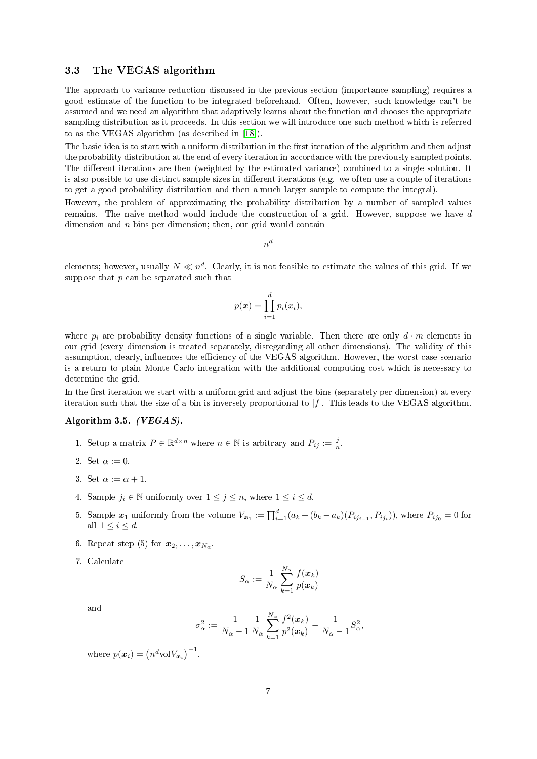#### <span id="page-7-0"></span>3.3 The VEGAS algorithm

The approach to variance reduction discussed in the previous section (importance sampling) requires a good estimate of the function to be integrated beforehand. Often, however, such knowledge can't be assumed and we need an algorithm that adaptively learns about the function and chooses the appropriate sampling distribution as it proceeds. In this section we will introduce one such method which is referred to as the VEGAS algorithm (as described in [\[18\]](#page-25-6)).

The basic idea is to start with a uniform distribution in the first iteration of the algorithm and then adjust the probability distribution at the end of every iteration in accordance with the previously sampled points. The different iterations are then (weighted by the estimated variance) combined to a single solution. It is also possible to use distinct sample sizes in different iterations (e.g. we often use a couple of iterations to get a good probability distribution and then a much larger sample to compute the integral).

However, the problem of approximating the probability distribution by a number of sampled values remains. The naive method would include the construction of a grid. However, suppose we have d dimension and  $n$  bins per dimension; then, our grid would contain

 $n^d$ 

elements; however, usually  $N \ll n^d$ . Clearly, it is not feasible to estimate the values of this grid. If we suppose that  $p$  can be separated such that

$$
p(\boldsymbol{x}) = \prod_{i=1}^d p_i(x_i),
$$

where  $p_i$  are probability density functions of a single variable. Then there are only  $d \cdot m$  elements in our grid (every dimension is treated separately, disregarding all other dimensions). The validity of this assumption, clearly, influences the efficiency of the VEGAS algorithm. However, the worst case scenario is a return to plain Monte Carlo integration with the additional computing cost which is necessary to determine the grid.

In the first iteration we start with a uniform grid and adjust the bins (separately per dimension) at every iteration such that the size of a bin is inversely proportional to  $|f|$ . This leads to the VEGAS algorithm.

#### Algorithm 3.5. (VEGAS).

- 1. Setup a matrix  $P \in \mathbb{R}^{d \times n}$  where  $n \in \mathbb{N}$  is arbitrary and  $P_{ij} := \frac{j}{n}$ .
- 2. Set  $\alpha := 0$ .
- 3. Set  $\alpha := \alpha + 1$ .
- 4. Sample  $j_i \in \mathbb{N}$  uniformly over  $1 \leq j \leq n$ , where  $1 \leq i \leq d$ .
- 5. Sample  $x_1$  uniformly from the volume  $V_{x_1} := \prod_{i=1}^d (a_k + (b_k a_k)(P_{ij_{i-1}}, P_{ij_i}))$ , where  $P_{ij_0} = 0$  for all  $1 \leq i \leq d$ .
- 6. Repeat step (5) for  $x_2, \ldots, x_{N_\alpha}$ .
- 7. Calculate

$$
S_{\alpha} := \frac{1}{N_{\alpha}} \sum_{k=1}^{N_{\alpha}} \frac{f(\boldsymbol{x}_k)}{p(\boldsymbol{x}_k)}
$$

and

$$
\sigma_{\alpha}^{2} := \frac{1}{N_{\alpha} - 1} \frac{1}{N_{\alpha}} \sum_{k=1}^{N_{\alpha}} \frac{f^{2}(\boldsymbol{x}_{k})}{p^{2}(\boldsymbol{x}_{k})} - \frac{1}{N_{\alpha} - 1} S_{\alpha}^{2},
$$

where  $p(\boldsymbol{x}_i) = (n^d \text{vol} V_{\boldsymbol{x}_i})^{-1}$ .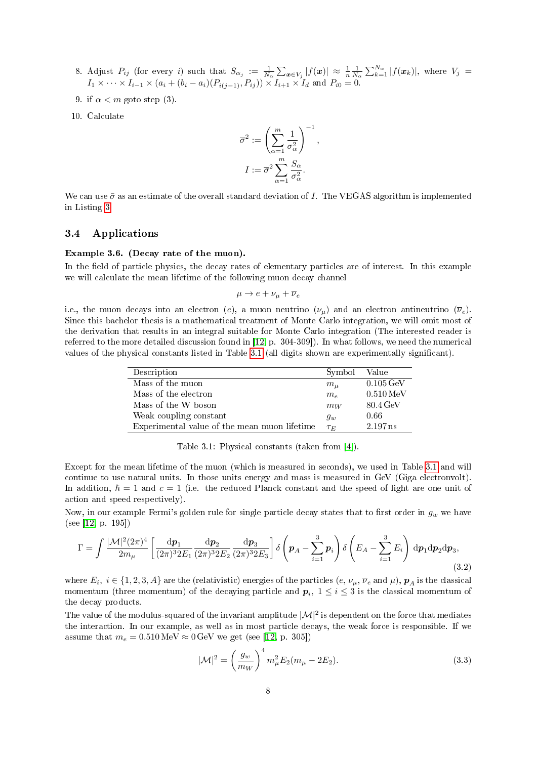- 8. Adjust  $P_{ij}$  (for every i) such that  $S_{\alpha_j} := \frac{1}{N_{\alpha}} \sum_{\mathbf{x} \in V_j} |f(\mathbf{x})| \approx \frac{1}{n} \frac{1}{N_{\alpha}} \sum_{k=1}^{N_{\alpha}} |f(\mathbf{x}_k)|$ , where  $V_j =$  $I_1 \times \cdots \times I_{i-1} \times (a_i + (b_i - a_i)(P_{i(j-1)}, P_{ij})) \times I_{i+1} \times I_d$  and  $P_{i0} = 0$ .
- 9. if  $\alpha < m$  goto step (3).
- 10. Calculate

$$
\overline{\sigma}^2 := \left(\sum_{\alpha=1}^m \frac{1}{\sigma_\alpha^2}\right)^{-1},
$$

$$
I := \overline{\sigma}^2 \sum_{\alpha=1}^m \frac{S_\alpha}{\sigma_\alpha^2}.
$$

We can use  $\bar{\sigma}$  as an estimate of the overall standard deviation of I. The VEGAS algorithm is implemented in Listing [3.](#page-26-2)

#### <span id="page-8-0"></span>3.4 Applications

#### <span id="page-8-1"></span>Example 3.6. (Decay rate of the muon).

In the field of particle physics, the decay rates of elementary particles are of interest. In this example we will calculate the mean lifetime of the following muon decay channel

 $\mu \rightarrow e + \nu_{\mu} + \overline{\nu}_{e}$ 

i.e., the muon decays into an electron (e), a muon neutrino  $(\nu_{\mu})$  and an electron antineutrino  $(\overline{\nu}_e)$ . Since this bachelor thesis is a mathematical treatment of Monte Carlo integration, we will omit most of the derivation that results in an integral suitable for Monte Carlo integration (The interested reader is referred to the more detailed discussion found in [\[12,](#page-24-3) p. 304-309]). In what follows, we need the numerical values of the physical constants listed in Table [3.1](#page-8-2) (all digits shown are experimentally signicant).

| Description                                  | Symbol    | Value                  |
|----------------------------------------------|-----------|------------------------|
| Mass of the muon                             | $m_{\mu}$ | $0.105\,\text{GeV}$    |
| Mass of the electron                         | $m_e$     | $0.510 \,\mathrm{MeV}$ |
| Mass of the W boson                          | $m_W$     | 80.4 GeV               |
| Weak coupling constant                       | $g_w$     | 0.66                   |
| Experimental value of the mean muon lifetime | $\tau_F$  | 2.197 ns               |

<span id="page-8-2"></span>Table 3.1: Physical constants (taken from [\[4\]](#page-24-4)).

Except for the mean lifetime of the muon (which is measured in seconds), we used in Table [3.1](#page-8-2) and will continue to use natural units. In those units energy and mass is measured in GeV (Giga electronvolt). In addition,  $\hbar = 1$  and  $c = 1$  (i.e. the reduced Planck constant and the speed of light are one unit of action and speed respectively).

Now, in our example Fermi's golden rule for single particle decay states that to first order in  $g_w$  we have (see [\[12,](#page-24-3) p. 195])

<span id="page-8-4"></span>
$$
\Gamma = \int \frac{|\mathcal{M}|^2 (2\pi)^4}{2m_\mu} \left[ \frac{\mathrm{d} \mathbf{p}_1}{(2\pi)^3 2E_1} \frac{\mathrm{d} \mathbf{p}_2}{(2\pi)^3 2E_2} \frac{\mathrm{d} \mathbf{p}_3}{(2\pi)^3 2E_3} \right] \delta \left( \mathbf{p}_A - \sum_{i=1}^3 \mathbf{p}_i \right) \delta \left( E_A - \sum_{i=1}^3 E_i \right) \mathrm{d} \mathbf{p}_1 \mathrm{d} \mathbf{p}_2 \mathrm{d} \mathbf{p}_3,\tag{3.2}
$$

where  $E_i, i \in \{1,2,3,A\}$  are the (relativistic) energies of the particles  $(e, \nu_\mu, \overline{\nu}_e \text{ and } \mu)$ ,  $\bm{p}_A$  is the classical momentum (three momentum) of the decaying particle and  $\boldsymbol{p}_i,~1\leq i\leq 3$  is the classical momentum of the decay products.

The value of the modulus-squared of the invariant amplitude  $|\mathcal{M}|^2$  is dependent on the force that mediates the interaction. In our example, as well as in most particle decays, the weak force is responsible. If we assume that  $m_e = 0.510 \,\text{MeV} \approx 0 \,\text{GeV}$  we get (see [\[12,](#page-24-3) p. 305])

<span id="page-8-3"></span>
$$
|\mathcal{M}|^2 = \left(\frac{g_w}{m_W}\right)^4 m_\mu^2 E_2(m_\mu - 2E_2).
$$
 (3.3)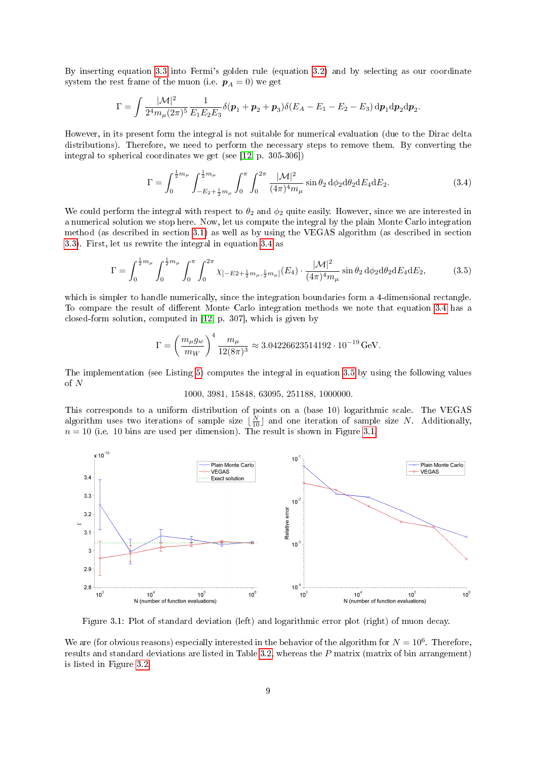By inserting equation [3.3](#page-8-3) into Fermi's golden rule (equation [3.2\)](#page-8-4) and by selecting as our coordinate system the rest frame of the muon (i.e.  $p_A = 0$ ) we get

$$
\Gamma = \int \frac{|\mathcal{M}|^2}{2^4 m_\mu (2\pi)^5} \frac{1}{E_1 E_2 E_3} \delta(\mathbf{p}_1 + \mathbf{p}_2 + \mathbf{p}_3) \delta(E_A - E_1 - E_2 - E_3) \, \mathrm{d} \mathbf{p}_1 \mathrm{d} \mathbf{p}_2 \mathrm{d} \mathbf{p}_2.
$$

However, in its present form the integral is not suitable for numerical evaluation (due to the Dirac delta distributions). Therefore, we need to perform the necessary steps to remove them. By converting the integral to spherical coordinates we get (see [\[12,](#page-24-3) p. 305-306])

<span id="page-9-0"></span>
$$
\Gamma = \int_0^{\frac{1}{2}m_\mu} \int_{-E_2 + \frac{1}{2}m_\mu}^{\frac{1}{2}m_\mu} \int_0^\pi \int_0^{2\pi} \frac{|\mathcal{M}|^2}{(4\pi)^4 m_\mu} \sin \theta_2 \, d\phi_2 d\theta_2 dE_4 dE_2. \tag{3.4}
$$

We could perform the integral with respect to  $\theta_2$  and  $\phi_2$  quite easily. However, since we are interested in a numerical solution we stop here. Now, let us compute the integral by the plain Monte Carlo integration method (as described in section [3.1\)](#page-4-1) as well as by using the VEGAS algorithm (as described in section [3.3\)](#page-7-0). First, let us rewrite the integral in equation [3.4](#page-9-0) as

<span id="page-9-1"></span>
$$
\Gamma = \int_0^{\frac{1}{2}m_\mu} \int_0^{\frac{1}{2}m_\mu} \int_0^{\pi} \int_0^{2\pi} \chi_{[-E2 + \frac{1}{2}m_\mu, \frac{1}{2}m_\mu]}(E_4) \cdot \frac{|\mathcal{M}|^2}{(4\pi)^4 m_\mu} \sin \theta_2 d\phi_2 d\theta_2 dE_4 dE_2, \tag{3.5}
$$

which is simpler to handle numerically, since the integration boundaries form a 4-dimensional rectangle. To compare the result of different Monte Carlo integration methods we note that equation [3.4](#page-9-0) has a closed-form solution, computed in [\[12,](#page-24-3) p. 307], which is given by

$$
\Gamma = \left(\frac{m_{\mu}g_{w}}{m_{W}}\right)^{4} \frac{m_{\mu}}{12(8\pi)^{3}} \approx 3.04226623514192 \cdot 10^{-19} \,\text{GeV}.
$$

The implementation (see Listing [5\)](#page-29-1) computes the integral in equation [3.5](#page-9-1) by using the following values of N

#### 1000, 3981, 15848, 63095, 251188, 1000000.

This corresponds to a uniform distribution of points on a (base 10) logarithmic scale. The VEGAS algorithm uses two iterations of sample size  $\lfloor \frac{N}{10} \rfloor$  and one iteration of sample size N. Additionally,  $n = 10$  (i.e. 10 bins are used per dimension). The result is shown in Figure [3.1.](#page-2-1)



Figure 3.1: Plot of standard deviation (left) and logarithmic error plot (right) of muon decay.

We are (for obvious reasons) especially interested in the behavior of the algorithm for  $N = 10^6$ . Therefore, results and standard deviations are listed in Table [3.2,](#page-10-2) whereas the P matrix (matrix of bin arrangement) is listed in Figure [3.2.](#page-10-3)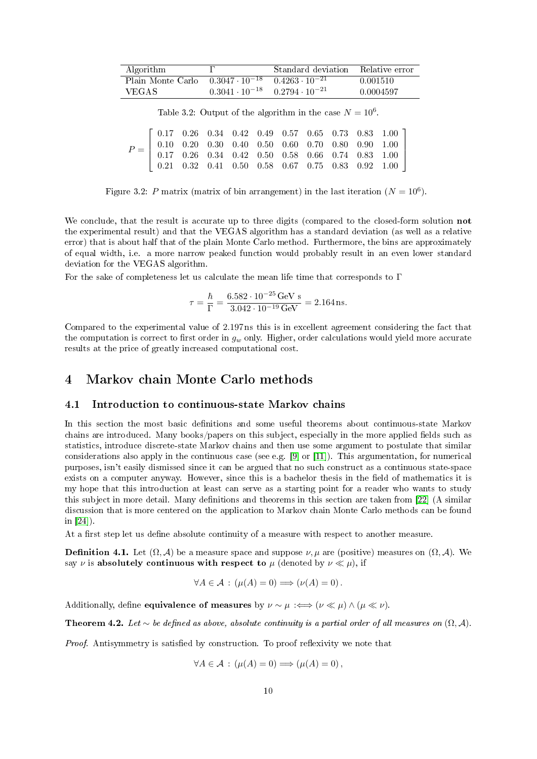| Algorithm                                                         |                                                 | Standard deviation Relative error |           |
|-------------------------------------------------------------------|-------------------------------------------------|-----------------------------------|-----------|
| Plain Monte Carlo $0.3047 \cdot 10^{-18}$ $0.4263 \cdot 10^{-21}$ |                                                 |                                   | 0.001510  |
| VEGAS -                                                           | $0.3041 \cdot 10^{-18}$ $0.2794 \cdot 10^{-21}$ |                                   | 0.0004597 |

<span id="page-10-2"></span>Table 3.2: Output of the algorithm in the case  $N = 10^6$ .

|  |  |  |  |  | $P=\left[\begin{array}{cccccccc} 0.17 & 0.26 & 0.34 & 0.42 & 0.49 & 0.57 & 0.65 & 0.73 & 0.83 & 1.00\\ 0.10 & 0.20 & 0.30 & 0.40 & 0.50 & 0.60 & 0.70 & 0.80 & 0.90 & 1.00\\ 0.17 & 0.26 & 0.34 & 0.42 & 0.50 & 0.58 & 0.66 & 0.74 & 0.83 & 1.00\\ 0.21 & 0.32 & 0.41 & 0.50 & 0.58$ |
|--|--|--|--|--|--------------------------------------------------------------------------------------------------------------------------------------------------------------------------------------------------------------------------------------------------------------------------------------|
|  |  |  |  |  |                                                                                                                                                                                                                                                                                      |

<span id="page-10-3"></span>Figure 3.2: P matrix (matrix of bin arrangement) in the last iteration  $(N = 10^6)$ .

We conclude, that the result is accurate up to three digits (compared to the closed-form solution not the experimental result) and that the VEGAS algorithm has a standard deviation (as well as a relative error) that is about half that of the plain Monte Carlo method. Furthermore, the bins are approximately of equal width, i.e. a more narrow peaked function would probably result in an even lower standard deviation for the VEGAS algorithm.

For the sake of completeness let us calculate the mean life time that corresponds to  $\Gamma$ 

$$
\tau = \frac{\hbar}{\Gamma} = \frac{6.582 \cdot 10^{-25} \,\text{GeV s}}{3.042 \cdot 10^{-19} \,\text{GeV}} = 2.164 \,\text{ns}.
$$

Compared to the experimental value of 2.197 ns this is in excellent agreement considering the fact that the computation is correct to first order in  $g_w$  only. Higher, order calculations would yield more accurate results at the price of greatly increased computational cost.

## <span id="page-10-0"></span>4 Markov chain Monte Carlo methods

#### <span id="page-10-1"></span>4.1 Introduction to continuous-state Markov chains

In this section the most basic definitions and some useful theorems about continuous-state Markov chains are introduced. Many books/papers on this subject, especially in the more applied fields such as statistics, introduce discrete-state Markov chains and then use some argument to postulate that similar considerations also apply in the continuous case (see e.g.  $[9]$  or  $[11]$ ). This argumentation, for numerical purposes, isn't easily dismissed since it can be argued that no such construct as a continuous state-space exists on a computer anyway. However, since this is a bachelor thesis in the field of mathematics it is my hope that this introduction at least can serve as a starting point for a reader who wants to study this subject in more detail. Many definitions and theorems in this section are taken from  $[22]$  (A similar discussion that is more centered on the application to Markov chain Monte Carlo methods can be found in [\[24\]](#page-25-7)).

At a first step let us define absolute continuity of a measure with respect to another measure.

**Definition 4.1.** Let  $(\Omega, \mathcal{A})$  be a measure space and suppose  $\nu, \mu$  are (positive) measures on  $(\Omega, \mathcal{A})$ . We say  $\nu$  is absolutely continuous with respect to  $\mu$  (denoted by  $\nu \ll \mu$ ), if

$$
\forall A \in \mathcal{A} : (\mu(A) = 0) \Longrightarrow (\nu(A) = 0).
$$

Additionally, define equivalence of measures by  $\nu \sim \mu : \iff (\nu \ll \mu) \wedge (\mu \ll \nu)$ .

Theorem 4.2. Let ∼ be defined as above, absolute continuity is a partial order of all measures on  $(\Omega, \mathcal{A})$ .

Proof. Antisymmetry is satisfied by construction. To proof reflexivity we note that

$$
\forall A \in \mathcal{A} : (\mu(A) = 0) \Longrightarrow (\mu(A) = 0),
$$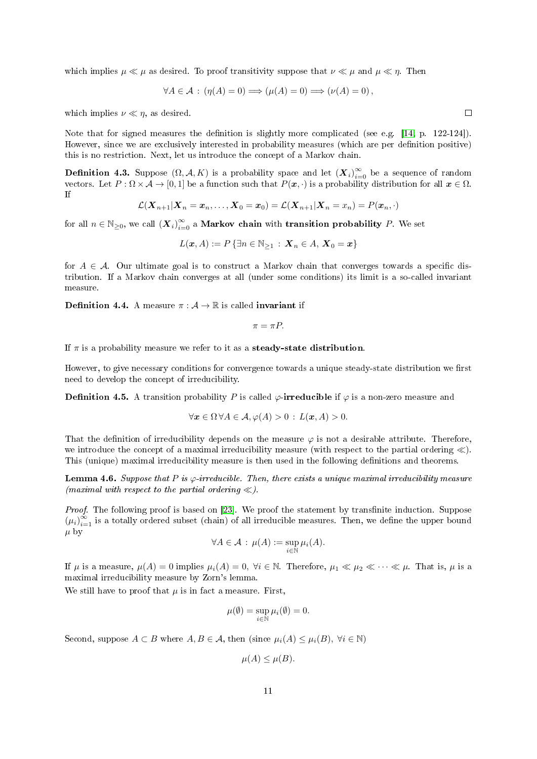which implies  $\mu \ll \mu$  as desired. To proof transitivity suppose that  $\nu \ll \mu$  and  $\mu \ll \eta$ . Then

$$
\forall A \in \mathcal{A} : (\eta(A) = 0) \Longrightarrow (\mu(A) = 0) \Longrightarrow (\nu(A) = 0),
$$

which implies  $\nu \ll \eta$ , as desired.

Note that for signed measures the definition is slightly more complicated (see e.g. [\[14,](#page-24-7) p. 122-124]). However, since we are exclusively interested in probability measures (which are per definition positive) this is no restriction. Next, let us introduce the concept of a Markov chain.

**Definition 4.3.** Suppose  $(\Omega, \mathcal{A}, K)$  is a probability space and let  $(\bm{X}_i)_{i=0}^{\infty}$  be a sequence of random vectors. Let  $P : \Omega \times A \to [0, 1]$  be a function such that  $P(x, \cdot)$  is a probability distribution for all  $x \in \Omega$ . If

$$
\mathcal{L}(\boldsymbol{X}_{n+1}|\boldsymbol{X}_{n}=\boldsymbol{x}_{n},\ldots,\boldsymbol{X}_{0}=\boldsymbol{x}_{0})=\mathcal{L}(\boldsymbol{X}_{n+1}|\boldsymbol{X}_{n}=\boldsymbol{x}_{n})=P(\boldsymbol{x}_{n},\cdot)
$$

for all  $n\in\mathbb{N}_{\geq 0},$  we call  $(\bm{X}_i)_{i=0}^\infty$  a **Markov chain** with **transition probability**  $P.$  We set

$$
L(\boldsymbol{x},A) := P\left\{\exists n \in \mathbb{N}_{\geq 1} \,:\, \boldsymbol{X}_n \in A, \,\boldsymbol{X}_0 = \boldsymbol{x}\right\}
$$

for  $A \in \mathcal{A}$ . Our ultimate goal is to construct a Markov chain that converges towards a specific distribution. If a Markov chain converges at all (under some conditions) its limit is a so-called invariant measure.

**Definition 4.4.** A measure  $\pi : A \to \mathbb{R}$  is called **invariant** if

$$
\pi = \pi P.
$$

If  $\pi$  is a probability measure we refer to it as a **steady-state distribution**.

However, to give necessary conditions for convergence towards a unique steady-state distribution we first need to develop the concept of irreducibility.

**Definition 4.5.** A transition probability P is called  $\varphi$ -irreducible if  $\varphi$  is a non-zero measure and

$$
\forall x \in \Omega \,\forall A \in \mathcal{A}, \varphi(A) > 0 : L(x, A) > 0.
$$

That the definition of irreducibility depends on the measure  $\varphi$  is not a desirable attribute. Therefore, we introduce the concept of a maximal irreducibility measure (with respect to the partial ordering  $\ll$ ). This (unique) maximal irreducibility measure is then used in the following definitions and theorems.

**Lemma 4.6.** Suppose that P is  $\varphi$ -irreducible. Then, there exists a unique maximal irreducibility measure (maximal with respect to the partial ordering  $\ll$ ).

Proof. The following proof is based on [\[23\]](#page-25-8). We proof the statement by transfinite induction. Suppose  $(\mu_i)_{i=1}^{\infty}$  is a totally ordered subset (chain) of all irreducible measures. Then, we define the upper bound  $\mu$  by

$$
\forall A \in \mathcal{A} : \mu(A) := \sup_{i \in \mathbb{N}} \mu_i(A).
$$

If  $\mu$  is a measure,  $\mu(A) = 0$  implies  $\mu_i(A) = 0$ ,  $\forall i \in \mathbb{N}$ . Therefore,  $\mu_1 \ll \mu_2 \ll \cdots \ll \mu$ . That is,  $\mu$  is a maximal irreducibility measure by Zorn's lemma.

We still have to proof that  $\mu$  is in fact a measure. First,

$$
\mu(\emptyset) = \sup_{i \in \mathbb{N}} \mu_i(\emptyset) = 0.
$$

Second, suppose  $A \subset B$  where  $A, B \in \mathcal{A}$ , then (since  $\mu_i(A) \leq \mu_i(B)$ ,  $\forall i \in \mathbb{N}$ )

$$
\mu(A) \leq \mu(B).
$$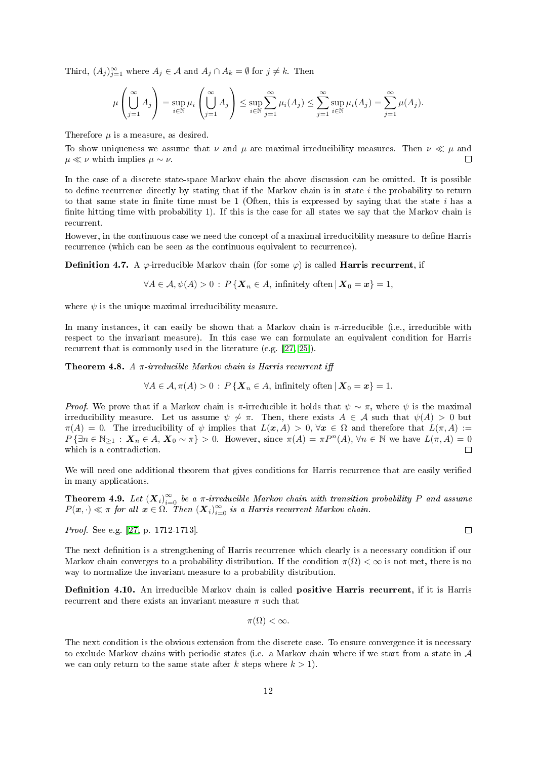Third,  $(A_j)_{j=1}^{\infty}$  where  $A_j \in \mathcal{A}$  and  $A_j \cap A_k = \emptyset$  for  $j \neq k$ . Then

$$
\mu\left(\bigcup_{j=1}^{\infty} A_j\right) = \sup_{i \in \mathbb{N}} \mu_i\left(\bigcup_{j=1}^{\infty} A_j\right) \le \sup_{i \in \mathbb{N}} \sum_{j=1}^{\infty} \mu_i(A_j) \le \sum_{j=1}^{\infty} \sup_{i \in \mathbb{N}} \mu_i(A_j) = \sum_{j=1}^{\infty} \mu(A_j).
$$

Therefore  $\mu$  is a measure, as desired.

To show uniqueness we assume that  $\nu$  and  $\mu$  are maximal irreducibility measures. Then  $\nu \ll \mu$  and  $\mu \ll \nu$  which implies  $\mu \sim \nu$ .  $\Box$ 

In the case of a discrete state-space Markov chain the above discussion can be omitted. It is possible to define recurrence directly by stating that if the Markov chain is in state  $i$  the probability to return to that same state in finite time must be  $1$  (Often, this is expressed by saying that the state i has a finite hitting time with probability 1). If this is the case for all states we say that the Markov chain is recurrent.

However, in the continuous case we need the concept of a maximal irreducibility measure to define Harris recurrence (which can be seen as the continuous equivalent to recurrence).

**Definition 4.7.** A  $\varphi$ -irreducible Markov chain (for some  $\varphi$ ) is called **Harris recurrent**, if

$$
\forall A \in \mathcal{A}, \psi(A) > 0: P\left\{ \boldsymbol{X}_n \in A, \text{ infinitely often} \,|\, \boldsymbol{X}_0 = \boldsymbol{x} \right\} = 1,
$$

where  $\psi$  is the unique maximal irreducibility measure.

In many instances, it can easily be shown that a Markov chain is  $\pi$ -irreducible (i.e., irreducible with respect to the invariant measure). In this case we can formulate an equivalent condition for Harris recurrent that is commonly used in the literature (e.g. [\[27,](#page-25-9) [25\]](#page-25-10)).

**Theorem 4.8.** A  $\pi$ -irreducible Markov chain is Harris recurrent iff

$$
\forall A \in \mathcal{A}, \pi(A) > 0: P\left\{ \boldsymbol{X}_n \in A, \text{ infinitely often} \mid \boldsymbol{X}_0 = \boldsymbol{x} \right\} = 1.
$$

*Proof.* We prove that if a Markov chain is  $\pi$ -irreducible it holds that  $\psi \sim \pi$ , where  $\psi$  is the maximal irreducibility measure. Let us assume  $\psi \not\sim \pi$ . Then, there exists  $A \in \mathcal{A}$  such that  $\psi(A) > 0$  but  $\pi(A) = 0$ . The irreducibility of  $\psi$  implies that  $L(\mathbf{x}, A) > 0$ ,  $\forall \mathbf{x} \in \Omega$  and therefore that  $L(\pi, A) :=$  $P\{\exists n\in\mathbb{N}_{\geq 1}: X_n\in A, X_0\sim\pi\} > 0.$  However, since  $\pi(A)=\pi P^{n}(A), \forall n\in\mathbb{N}$  we have  $L(\pi, A)=0$ which is a contradiction.  $\Box$ 

We will need one additional theorem that gives conditions for Harris recurrence that are easily verified in many applications.

<span id="page-12-0"></span>**Theorem 4.9.** Let  $(X_i)_{i=0}^{\infty}$  be a  $\pi$ -irreducible Markov chain with transition probability P and assume  $P(x, \cdot) \ll \pi$  for all  $x \in \Omega$ . Then  $(X_i)_{i=0}^{\infty}$  is a Harris recurrent Markov chain.

Proof. See e.g. [\[27,](#page-25-9) p. 1712-1713].

The next definition is a strengthening of Harris recurrence which clearly is a necessary condition if our Markov chain converges to a probability distribution. If the condition  $\pi(\Omega) < \infty$  is not met, there is no way to normalize the invariant measure to a probability distribution.

Definition 4.10. An irreducible Markov chain is called positive Harris recurrent, if it is Harris recurrent and there exists an invariant measure  $\pi$  such that

$$
\pi(\Omega)<\infty.
$$

The next condition is the obvious extension from the discrete case. To ensure convergence it is necessary to exclude Markov chains with periodic states (i.e. a Markov chain where if we start from a state in  $A$ we can only return to the same state after k steps where  $k > 1$ .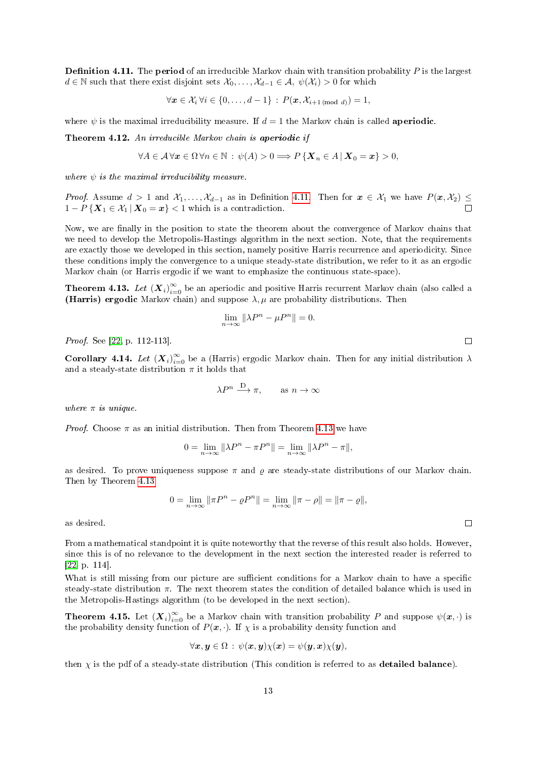<span id="page-13-0"></span>**Definition 4.11.** The **period** of an irreducible Markov chain with transition probability  $P$  is the largest  $d \in \mathbb{N}$  such that there exist disjoint sets  $\mathcal{X}_0, \ldots, \mathcal{X}_{d-1} \in \mathcal{A}, \ \psi(\mathcal{X}_i) > 0$  for which

$$
\forall \mathbf{x} \in \mathcal{X}_i \, \forall i \in \{0, \ldots, d-1\} \, : \, P(\mathbf{x}, \mathcal{X}_{i+1 \pmod{d}}) = 1,
$$

where  $\psi$  is the maximal irreducibility measure. If  $d = 1$  the Markov chain is called **aperiodic**.

Theorem 4.12. An irreducible Markov chain is aperiodic if

$$
\forall A \in \mathcal{A} \,\forall \mathbf{x} \in \Omega \,\forall n \in \mathbb{N} \,:\, \psi(A) > 0 \Longrightarrow P\left\{ \boldsymbol{X}_n \in A \,|\, \boldsymbol{X}_0 = \boldsymbol{x} \right\} > 0,
$$

where  $\psi$  is the maximal irreducibility measure.

*Proof.* Assume  $d > 1$  and  $\mathcal{X}_1, \ldots, \mathcal{X}_{d-1}$  as in Definition [4.11.](#page-13-0) Then for  $x \in \mathcal{X}_1$  we have  $P(x, \mathcal{X}_2) \leq$  $1 - P\{X_1 \in \mathcal{X}_1 | X_0 = x\} < 1$  which is a contradiction.  $\Box$ 

Now, we are finally in the position to state the theorem about the convergence of Markov chains that we need to develop the Metropolis-Hastings algorithm in the next section. Note, that the requirements are exactly those we developed in this section, namely positive Harris recurrence and aperiodicity. Since these conditions imply the convergence to a unique steady-state distribution, we refer to it as an ergodic Markov chain (or Harris ergodic if we want to emphasize the continuous state-space).

<span id="page-13-1"></span>**Theorem 4.13.** Let  $(X_i)_{i=0}^{\infty}$  be an aperiodic and positive Harris recurrent Markov chain (also called a (Harris) ergodic Markov chain) and suppose  $\lambda, \mu$  are probability distributions. Then

$$
\lim_{n \to \infty} \|\lambda P^n - \mu P^n\| = 0.
$$

Proof. See [\[22,](#page-25-4) p. 112-113].

**Corollary 4.14.** Let  $(X_i)_{i=0}^{\infty}$  be a (Harris) ergodic Markov chain. Then for any initial distribution  $\lambda$ and a steady-state distribution  $\pi$  it holds that

$$
\lambda P^n \xrightarrow{\mathcal{D}} \pi, \qquad \text{as } n \to \infty
$$

where  $\pi$  is unique.

*Proof.* Choose  $\pi$  as an initial distribution. Then from Theorem [4.13](#page-13-1) we have

$$
0=\lim_{n\to\infty}\|\lambda P^n-\pi P^n\|=\lim_{n\to\infty}\|\lambda P^n-\pi\|,
$$

as desired. To prove uniqueness suppose  $\pi$  and  $\rho$  are steady-state distributions of our Markov chain. Then by Theorem [4.13](#page-13-1)

 $0 = \lim_{n \to \infty} ||\pi P^n - \varrho P^n|| = \lim_{n \to \infty} ||\pi - \rho|| = ||\pi - \varrho||,$ 

as desired.

From a mathematical standpoint it is quite noteworthy that the reverse of this result also holds. However, since this is of no relevance to the development in the next section the interested reader is referred to [\[22,](#page-25-4) p. 114].

What is still missing from our picture are sufficient conditions for a Markov chain to have a specific steady-state distribution  $\pi$ . The next theorem states the condition of detailed balance which is used in the Metropolis-Hastings algorithm (to be developed in the next section).

**Theorem 4.15.** Let  $(X_i)_{i=0}^{\infty}$  be a Markov chain with transition probability P and suppose  $\psi(x, \cdot)$  is the probability density function of  $P(x, \cdot)$ . If  $\chi$  is a probability density function and

$$
\forall x, y \in \Omega : \psi(x, y)\chi(x) = \psi(y, x)\chi(y),
$$

then  $\chi$  is the pdf of a steady-state distribution (This condition is referred to as **detailed balance**).

 $\Box$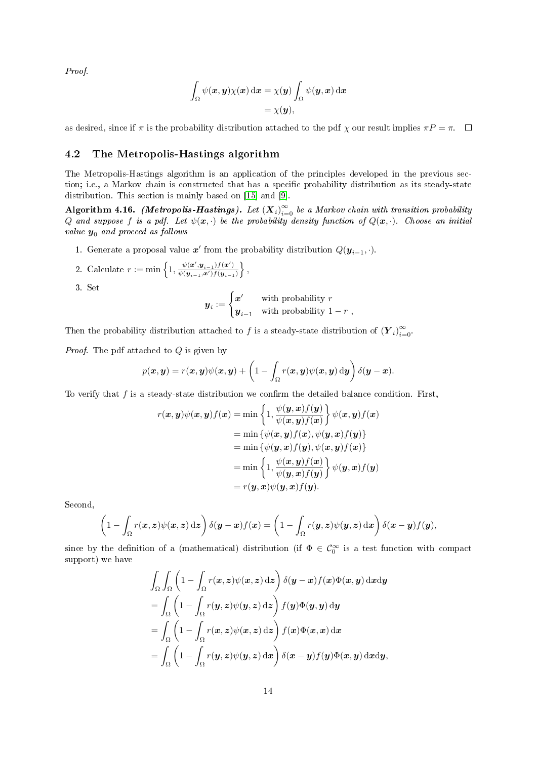Proof.

$$
\int_{\Omega} \psi(\mathbf{x}, \mathbf{y}) \chi(\mathbf{x}) \,d\mathbf{x} = \chi(\mathbf{y}) \int_{\Omega} \psi(\mathbf{y}, \mathbf{x}) \,d\mathbf{x} \n= \chi(\mathbf{y}),
$$

as desired, since if  $\pi$  is the probability distribution attached to the pdf  $\chi$  our result implies  $\pi P = \pi$ .  $\Box$ 

#### <span id="page-14-0"></span>4.2 The Metropolis-Hastings algorithm

The Metropolis-Hastings algorithm is an application of the principles developed in the previous section; i.e., a Markov chain is constructed that has a specific probability distribution as its steady-state distribution. This section is mainly based on [\[15\]](#page-24-8) and [\[9\]](#page-24-5).

Algorithm 4.16. (Metropolis-Hastings). Let  $(X_i)_{i=0}^{\infty}$  be a Markov chain with transition probability Q and suppose f is a pdf. Let  $\psi(x, \cdot)$  be the probability density function of  $Q(x, \cdot)$ . Choose an initial value  $y_0$  and proceed as follows

1. Generate a proposal value  $x'$  from the probability distribution  $Q(\mathbf{y}_{i-1}, \cdot)$ .

2. Calculate 
$$
r := \min\left\{1, \frac{\psi(\boldsymbol{x}', \boldsymbol{y}_{i-1}) f(\boldsymbol{x}')}{\psi(\boldsymbol{y}_{i-1}, \boldsymbol{x}') f(\boldsymbol{y}_{i-1})}\right\},
$$

3. Set

$$
\boldsymbol{y}_i := \begin{cases} \boldsymbol{x}' & \text{with probability } r \\ \boldsymbol{y}_{i-1} & \text{with probability } 1-r \end{cases},
$$

Then the probability distribution attached to f is a steady-state distribution of  $(Y_i)_{i=0}^{\infty}$ .

*Proof.* The pdf attached to  $Q$  is given by

$$
p(\boldsymbol{x}, \boldsymbol{y}) = r(\boldsymbol{x}, \boldsymbol{y})\psi(\boldsymbol{x}, \boldsymbol{y}) + \left(1 - \int_{\Omega} r(\boldsymbol{x}, \boldsymbol{y})\psi(\boldsymbol{x}, \boldsymbol{y}) \, \mathrm{d}\boldsymbol{y}\right) \delta(\boldsymbol{y} - \boldsymbol{x}).
$$

To verify that  $f$  is a steady-state distribution we confirm the detailed balance condition. First,

$$
r(\boldsymbol{x}, \boldsymbol{y})\psi(\boldsymbol{x}, \boldsymbol{y})f(\boldsymbol{x}) = \min \left\{1, \frac{\psi(\boldsymbol{y}, \boldsymbol{x})f(\boldsymbol{y})}{\psi(\boldsymbol{x}, \boldsymbol{y})f(\boldsymbol{x})}\right\}\psi(\boldsymbol{x}, \boldsymbol{y})f(\boldsymbol{x})
$$
  
\n
$$
= \min \left\{\psi(\boldsymbol{x}, \boldsymbol{y})f(\boldsymbol{x}), \psi(\boldsymbol{y}, \boldsymbol{x})f(\boldsymbol{y})\right\}
$$
  
\n
$$
= \min \left\{\psi(\boldsymbol{y}, \boldsymbol{x})f(\boldsymbol{y}), \psi(\boldsymbol{x}, \boldsymbol{y})f(\boldsymbol{x})\right\}
$$
  
\n
$$
= \min \left\{1, \frac{\psi(\boldsymbol{x}, \boldsymbol{y})f(\boldsymbol{x})}{\psi(\boldsymbol{y}, \boldsymbol{x})f(\boldsymbol{y})}\right\}\psi(\boldsymbol{y}, \boldsymbol{x})f(\boldsymbol{y})
$$
  
\n
$$
= r(\boldsymbol{y}, \boldsymbol{x})\psi(\boldsymbol{y}, \boldsymbol{x})f(\boldsymbol{y}).
$$

Second,

$$
\left(1-\int_{\Omega}r(\boldsymbol{x},\boldsymbol{z})\psi(\boldsymbol{x},\boldsymbol{z})\,\mathrm{d}\boldsymbol{z}\right)\delta(\boldsymbol{y}-\boldsymbol{x})f(\boldsymbol{x})=\left(1-\int_{\Omega}r(\boldsymbol{y},\boldsymbol{z})\psi(\boldsymbol{y},\boldsymbol{z})\,\mathrm{d}\boldsymbol{x}\right)\delta(\boldsymbol{x}-\boldsymbol{y})f(\boldsymbol{y}),
$$

since by the definition of a (mathematical) distribution (if  $\Phi \in \mathcal{C}_0^{\infty}$  is a test function with compact support) we have

$$
\int_{\Omega} \int_{\Omega} \left(1 - \int_{\Omega} r(x, z) \psi(x, z) dz\right) \delta(y - x) f(x) \Phi(x, y) dxdy
$$
\n
$$
= \int_{\Omega} \left(1 - \int_{\Omega} r(y, z) \psi(y, z) dz\right) f(y) \Phi(y, y) dy
$$
\n
$$
= \int_{\Omega} \left(1 - \int_{\Omega} r(x, z) \psi(x, z) dz\right) f(x) \Phi(x, x) dx
$$
\n
$$
= \int_{\Omega} \left(1 - \int_{\Omega} r(y, z) \psi(y, z) dx\right) \delta(x - y) f(y) \Phi(x, y) dxdy,
$$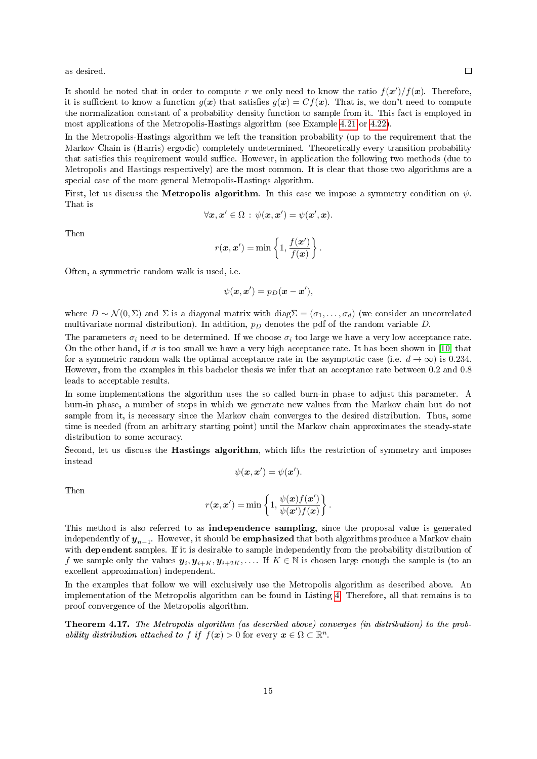as desired.

It should be noted that in order to compute r we only need to know the ratio  $f(x')/f(x)$ . Therefore, it is sufficient to know a function  $g(x)$  that satisfies  $g(x) = Cf(x)$ . That is, we don't need to compute the normalization constant of a probability density function to sample from it. This fact is employed in most applications of the Metropolis-Hastings algorithm (see Example [4.21](#page-18-0) or [4.22\)](#page-20-0).

In the Metropolis-Hastings algorithm we left the transition probability (up to the requirement that the Markov Chain is (Harris) ergodic) completely undetermined. Theoretically every transition probability that satisfies this requirement would suffice. However, in application the following two methods (due to Metropolis and Hastings respectively) are the most common. It is clear that those two algorithms are a special case of the more general Metropolis-Hastings algorithm.

First, let us discuss the **Metropolis algorithm**. In this case we impose a symmetry condition on  $\psi$ . That is

$$
\forall \boldsymbol{x}, \boldsymbol{x}' \in \Omega \, : \, \psi(\boldsymbol{x}, \boldsymbol{x}') = \psi(\boldsymbol{x}', \boldsymbol{x}).
$$

Then

$$
r(\boldsymbol{x}, \boldsymbol{x}') = \min\left\{1, \frac{f(\boldsymbol{x}')}{f(\boldsymbol{x})}\right\}.
$$

Often, a symmetric random walk is used, i.e.

$$
\psi(\mathbf{x}, \mathbf{x}') = p_D(\mathbf{x} - \mathbf{x}'),
$$

where  $D \sim \mathcal{N}(0, \Sigma)$  and  $\Sigma$  is a diagonal matrix with diag $\Sigma = (\sigma_1, \ldots, \sigma_d)$  (we consider an uncorrelated multivariate normal distribution). In addition,  $p<sub>D</sub>$  denotes the pdf of the random variable D.

The parameters  $\sigma_i$  need to be determined. If we choose  $\sigma_i$  too large we have a very low acceptance rate. On the other hand, if  $\sigma$  is too small we have a very high acceptance rate. It has been shown in [\[10\]](#page-24-9) that for a symmetric random walk the optimal acceptance rate in the asymptotic case (i.e.  $d \to \infty$ ) is 0.234. However, from the examples in this bachelor thesis we infer that an acceptance rate between 0.2 and 0.8 leads to acceptable results.

In some implementations the algorithm uses the so called burn-in phase to adjust this parameter. A burn-in phase, a number of steps in which we generate new values from the Markov chain but do not sample from it, is necessary since the Markov chain converges to the desired distribution. Thus, some time is needed (from an arbitrary starting point) until the Markov chain approximates the steady-state distribution to some accuracy.

Second, let us discuss the Hastings algorithm, which lifts the restriction of symmetry and imposes instead

$$
\psi(\boldsymbol{x},\boldsymbol{x}')=\psi(\boldsymbol{x}').
$$

Then

$$
r(\boldsymbol{x}, \boldsymbol{x}') = \min\left\{1, \frac{\psi(\boldsymbol{x})f(\boldsymbol{x}')}{\psi(\boldsymbol{x}')f(\boldsymbol{x})}\right\}.
$$

This method is also referred to as independence sampling, since the proposal value is generated independently of  $\bm{y}_{n-1}$ . However, it should be  $\mathbf{emphasized}$  that both algorithms produce a Markov chain with dependent samples. If it is desirable to sample independently from the probability distribution of f we sample only the values  $y_i, y_{i+K}, y_{i+2K}, \ldots$  If  $K \in \mathbb{N}$  is chosen large enough the sample is (to an excellent approximation) independent.

In the examples that follow we will exclusively use the Metropolis algorithm as described above. An implementation of the Metropolis algorithm can be found in Listing [4.](#page-28-0) Therefore, all that remains is to proof convergence of the Metropolis algorithm.

Theorem 4.17. The Metropolis algorithm (as described above) converges (in distribution) to the probability distribution attached to f if  $f(\mathbf{x}) > 0$  for every  $\mathbf{x} \in \Omega \subset \mathbb{R}^n$ .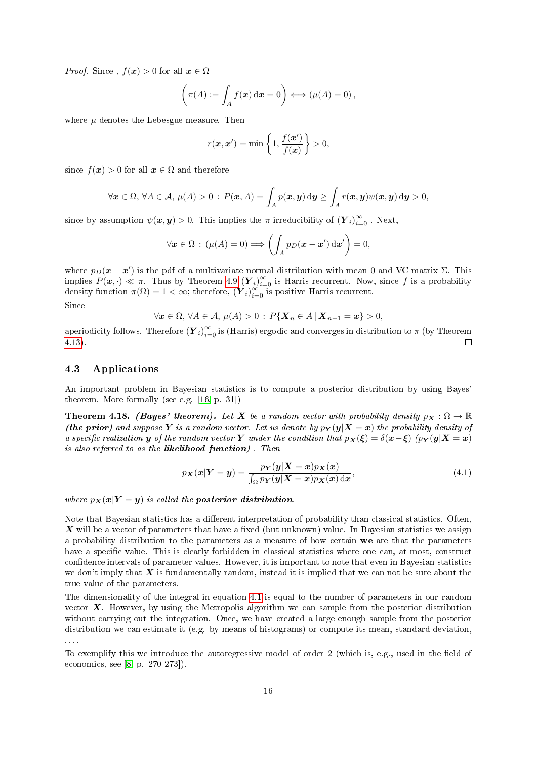*Proof.* Since ,  $f(x) > 0$  for all  $x \in \Omega$ 

$$
\left(\pi(A) := \int_A f(\boldsymbol{x}) \, \mathrm{d}\boldsymbol{x} = 0\right) \Longleftrightarrow \left(\mu(A) = 0\right),\,
$$

where  $\mu$  denotes the Lebesgue measure. Then

$$
r(\boldsymbol{x}, \boldsymbol{x}') = \min\left\{1, \frac{f(\boldsymbol{x}')}{f(\boldsymbol{x})}\right\} > 0,
$$

since  $f(x) > 0$  for all  $x \in \Omega$  and therefore

$$
\forall \boldsymbol{x} \in \Omega, \, \forall A \in \mathcal{A}, \, \mu(A) > 0 \, : \, P(\boldsymbol{x}, A) = \int_A p(\boldsymbol{x}, \boldsymbol{y}) \, \mathrm{d}\boldsymbol{y} \ge \int_A r(\boldsymbol{x}, \boldsymbol{y}) \psi(\boldsymbol{x}, \boldsymbol{y}) \, \mathrm{d}\boldsymbol{y} > 0,
$$

since by assumption  $\psi(\bm{x}, \bm{y}) > 0$ . This implies the  $\pi$ -irreducibility of  $(\bm{Y}_i)_{i=0}^{\infty}$  . Next,

$$
\forall \mathbf{x} \in \Omega : (\mu(A) = 0) \Longrightarrow \left( \int_A p_D(\mathbf{x} - \mathbf{x}') \, \mathrm{d}\mathbf{x}' \right) = 0,
$$

where  $p_D(\mathbf{x} - \mathbf{x}')$  is the pdf of a multivariate normal distribution with mean 0 and VC matrix  $\Sigma$ . This implies  $P(x, \cdot) \ll \pi$ . Thus by Theorem [4.9](#page-12-0)  $(Y_i)_{i=0}^{\infty}$  is Harris recurrent. Now, since f is a probability density function  $\pi(\Omega) = 1 < \infty$ ; therefore,  $(\hat{Y}_i)_{i=0}^{\infty}$  is positive Harris recurrent. Since

$$
\forall \boldsymbol{x} \in \Omega, \forall A \in \mathcal{A}, \mu(A) > 0 : P\{\boldsymbol{X}_n \in A \,|\, \boldsymbol{X}_{n-1} = \boldsymbol{x}\} > 0,
$$

aperiodicity follows. Therefore  $(\bm{Y}_i)_{i=0}^\infty$  is (Harris) ergodic and converges in distribution to  $\pi$  (by Theorem [4.13\)](#page-13-1).

#### <span id="page-16-0"></span>4.3 Applications

An important problem in Bayesian statistics is to compute a posterior distribution by using Bayes' theorem. More formally (see e.g. [\[16,](#page-24-10) p. 31])

**Theorem 4.18.** (Bayes' theorem). Let X be a random vector with probability density  $p_X : \Omega \to \mathbb{R}$ (the prior) and suppose Y is a random vector. Let us denote by  $p_Y(y|X=x)$  the probability density of a specific realization y of the random vector Y under the condition that  $p_X(\xi) = \delta(x-\xi)$  ( $p_Y(y|X=x)$ ) is also referred to as the likelihood function) . Then

<span id="page-16-1"></span>
$$
p_{\mathbf{X}}(\mathbf{x}|\mathbf{Y}=\mathbf{y}) = \frac{p_{\mathbf{Y}}(\mathbf{y}|\mathbf{X}=\mathbf{x})p_{\mathbf{X}}(\mathbf{x})}{\int_{\Omega} p_{\mathbf{Y}}(\mathbf{y}|\mathbf{X}=\mathbf{x})p_{\mathbf{X}}(\mathbf{x}) \, \mathrm{d}\mathbf{x}},\tag{4.1}
$$

where  $p_X(x|Y = y)$  is called the posterior distribution.

Note that Bayesian statistics has a different interpretation of probability than classical statistics. Often,  $\boldsymbol{X}$  will be a vector of parameters that have a fixed (but unknown) value. In Bayesian statistics we assign a probability distribution to the parameters as a measure of how certain we are that the parameters have a specific value. This is clearly forbidden in classical statistics where one can, at most, construct confidence intervals of parameter values. However, it is important to note that even in Bayesian statistics we don't imply that  $X$  is fundamentally random, instead it is implied that we can not be sure about the true value of the parameters.

The dimensionality of the integral in equation [4.1](#page-16-1) is equal to the number of parameters in our random vector  $X$ . However, by using the Metropolis algorithm we can sample from the posterior distribution without carrying out the integration. Once, we have created a large enough sample from the posterior distribution we can estimate it (e.g. by means of histograms) or compute its mean, standard deviation, . . . .

To exemplify this we introduce the autoregressive model of order 2 (which is, e.g., used in the field of economics, see [\[8,](#page-24-11) p. 270-273]).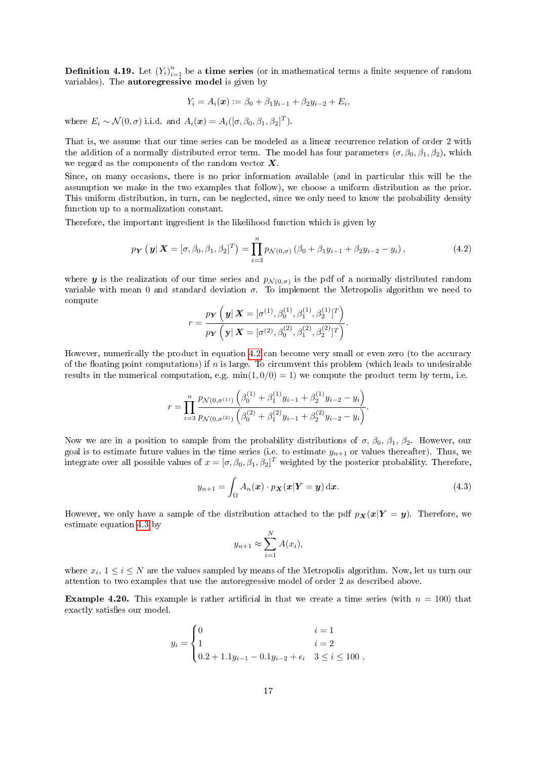**Definition 4.19.** Let  $(Y_i)_{i=1}^n$  be a time series (or in mathematical terms a finite sequence of random variables). The autoregressive model is given by

$$
Y_i = A_i(\boldsymbol{x}) := \beta_0 + \beta_1 y_{i-1} + \beta_2 y_{i-2} + E_i,
$$

where  $E_i \sim \mathcal{N}(0, \sigma)$  i.i.d. and  $A_i(\boldsymbol{x}) = A_i([\sigma, \beta_0, \beta_1, \beta_2]^T)$ .

That is, we assume that our time series can be modeled as a linear recurrence relation of order 2 with the addition of a normally distributed error term. The model has four parameters  $(\sigma, \beta_0, \beta_1, \beta_2)$ , which we regard as the components of the random vector  $X$ .

Since, on many occasions, there is no prior information available (and in particular this will be the assumption we make in the two examples that follow), we choose a uniform distribution as the prior. This uniform distribution, in turn, can be neglected, since we only need to know the probability density function up to a normalization constant.

Therefore, the important ingredient is the likelihood function which is given by

<span id="page-17-0"></span>
$$
p_{\boldsymbol{Y}}\left(\left.\boldsymbol{y}\right|{\boldsymbol{X}}=[\sigma,\beta_{0},\beta_{1},\beta_{2}]^{T}\right)=\prod_{i=3}^{n}p_{\mathcal{N}(0,\sigma)}\left(\beta_{0}+\beta_{1}y_{i-1}+\beta_{2}y_{i-2}-y_{i}\right),\tag{4.2}
$$

where **y** is the realization of our time series and  $p_{\mathcal{N}(0,\sigma)}$  is the pdf of a normally distributed random variable with mean 0 and standard deviation  $\sigma$ . To implement the Metropolis algorithm we need to compute

$$
r = \frac{p_Y\left(\mathbf{y}|\mathbf{X} = [\sigma^{(1)}, \beta_0^{(1)}, \beta_1^{(1)}, \beta_2^{(1)}]^T\right)}{p_Y\left(\mathbf{y}|\mathbf{X} = [\sigma^{(2)}, \beta_0^{(2)}, \beta_1^{(2)}, \beta_2^{(2)}]^T\right)}.
$$

However, numerically the product in equation [4.2](#page-17-0) can become very small or even zero (to the accuracy of the floating point computations) if n is large. To circumvent this problem (which leads to undesirable results in the numerical computation, e.g.  $min(1, 0/0) = 1$ ) we compute the product term by term, i.e.

$$
r = \prod_{i=3}^{n} \frac{p_{\mathcal{N}(0, \sigma^{(1)})} \left( \beta_0^{(1)} + \beta_1^{(1)} y_{i-1} + \beta_2^{(1)} y_{i-2} - y_i \right)}{p_{\mathcal{N}(0, \sigma^{(2)})} \left( \beta_0^{(2)} + \beta_1^{(2)} y_{i-1} + \beta_2^{(2)} y_{i-2} - y_i \right)}.
$$

Now we are in a position to sample from the probability distributions of  $\sigma$ ,  $\beta_0$ ,  $\beta_1$ ,  $\beta_2$ . However, our goal is to estimate future values in the time series (i.e. to estimate  $y_{n+1}$  or values thereafter). Thus, we integrate over all possible values of  $x = [\sigma, \beta_0, \beta_1, \beta_2]^T$  weighted by the posterior probability. Therefore,

<span id="page-17-1"></span>
$$
y_{n+1} = \int_{\Omega} A_n(\boldsymbol{x}) \cdot p_{\boldsymbol{X}}(\boldsymbol{x} | \boldsymbol{Y} = \boldsymbol{y}) \, \mathrm{d}\boldsymbol{x}.
$$
 (4.3)

However, we only have a sample of the distribution attached to the pdf  $p_X(x|Y = y)$ . Therefore, we estimate equation [4.3](#page-17-1) by

$$
y_{n+1} \approx \sum_{i=1}^{N} A(x_i),
$$

where  $x_i$ ,  $1 \le i \le N$  are the values sampled by means of the Metropolis algorithm. Now, let us turn our attention to two examples that use the autoregressive model of order 2 as described above.

<span id="page-17-2"></span>**Example 4.20.** This example is rather artificial in that we create a time series (with  $n = 100$ ) that exactly satisfies our model.

$$
y_i = \begin{cases} 0 & i = 1 \\ 1 & i = 2 \\ 0.2 + 1.1y_{i-1} - 0.1y_{i-2} + \epsilon_i & 3 \le i \le 100 \end{cases}
$$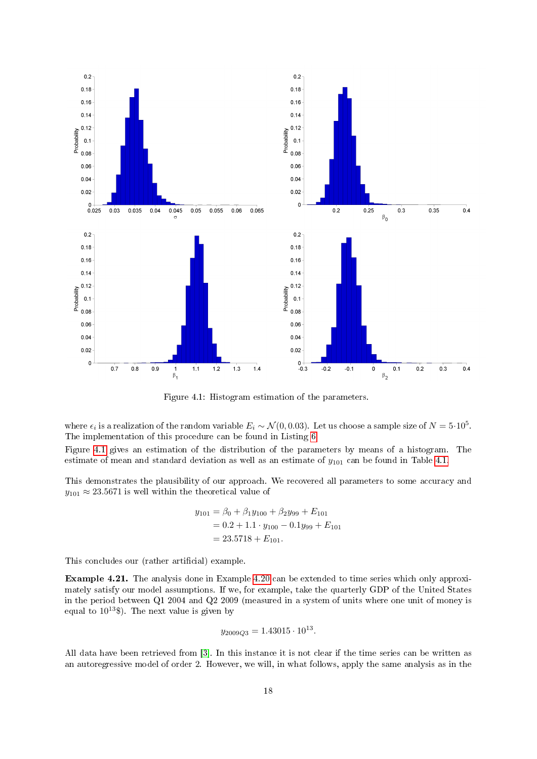

Figure 4.1: Histogram estimation of the parameters.

where  $\epsilon_i$  is a realization of the random variable  $E_i \sim \mathcal{N}(0, 0.03)$ . Let us choose a sample size of  $N = 5 \cdot 10^5$ . The implementation of this procedure can be found in Listing [6.](#page-31-0)

Figure [4.1](#page-2-1) gives an estimation of the distribution of the parameters by means of a histogram. The estimate of mean and standard deviation as well as an estimate of  $y_{101}$  can be found in Table [4.1.](#page-19-0)

This demonstrates the plausibility of our approach. We recovered all parameters to some accuracy and  $y_{101} \approx 23.5671$  is well within the theoretical value of

$$
y_{101} = \beta_0 + \beta_1 y_{100} + \beta_2 y_{99} + E_{101}
$$
  
= 0.2 + 1.1 · y\_{100} - 0.1 y\_{99} + E\_{101}  
= 23.5718 + E\_{101}.

This concludes our (rather artificial) example.

<span id="page-18-0"></span>Example 4.21. The analysis done in Example [4.20](#page-17-2) can be extended to time series which only approximately satisfy our model assumptions. If we, for example, take the quarterly GDP of the United States in the period between Q1 2004 and Q2 2009 (measured in a system of units where one unit of money is equal to  $10^{13}$ \$). The next value is given by

$$
y_{2009Q3} = 1.43015 \cdot 10^{13}.
$$

All data have been retrieved from [\[3\]](#page-24-12). In this instance it is not clear if the time series can be written as an autoregressive model of order 2. However, we will, in what follows, apply the same analysis as in the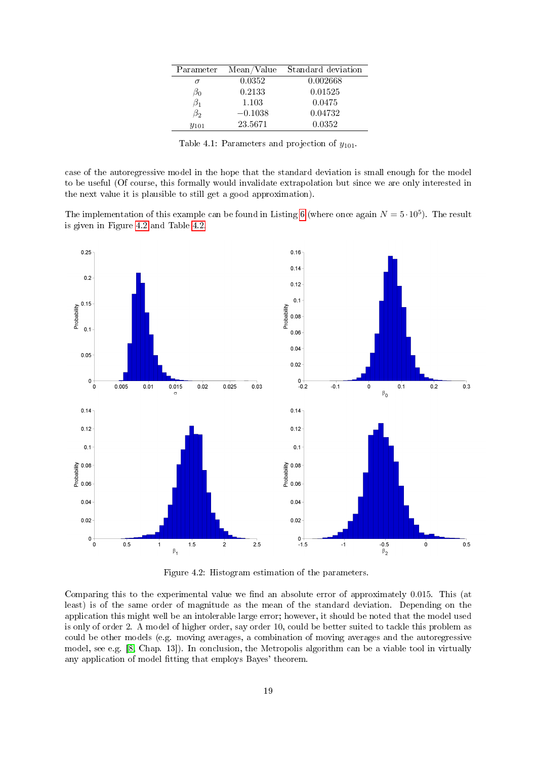| Parameter | Mean/Value | Standard deviation |
|-----------|------------|--------------------|
|           | 0.0352     | 0.002668           |
| ნი        | 0.2133     | 0.01525            |
| $\beta_1$ | 1.103      | 0.0475             |
| $\beta_2$ | $-0.1038$  | 0.04732            |
| $y_{101}$ | 23.5671    | 0.0352             |

<span id="page-19-0"></span>Table 4.1: Parameters and projection of  $y_{101}$ .

case of the autoregressive model in the hope that the standard deviation is small enough for the model to be useful (Of course, this formally would invalidate extrapolation but since we are only interested in the next value it is plausible to still get a good approximation).

The implementation of this example can be found in Listing [6](#page-31-0) (where once again  $N = 5 \cdot 10^5$ ). The result is given in Figure [4.2](#page-10-3) and Table [4.2.](#page-20-1)



Figure 4.2: Histogram estimation of the parameters.

Comparing this to the experimental value we find an absolute error of approximately 0.015. This (at least) is of the same order of magnitude as the mean of the standard deviation. Depending on the application this might well be an intolerable large error; however, it should be noted that the model used is only of order 2. A model of higher order, say order 10, could be better suited to tackle this problem as could be other models (e.g. moving averages, a combination of moving averages and the autoregressive model, see e.g. [\[8,](#page-24-11) Chap. 13]). In conclusion, the Metropolis algorithm can be a viable tool in virtually any application of model fitting that employs Bayes' theorem.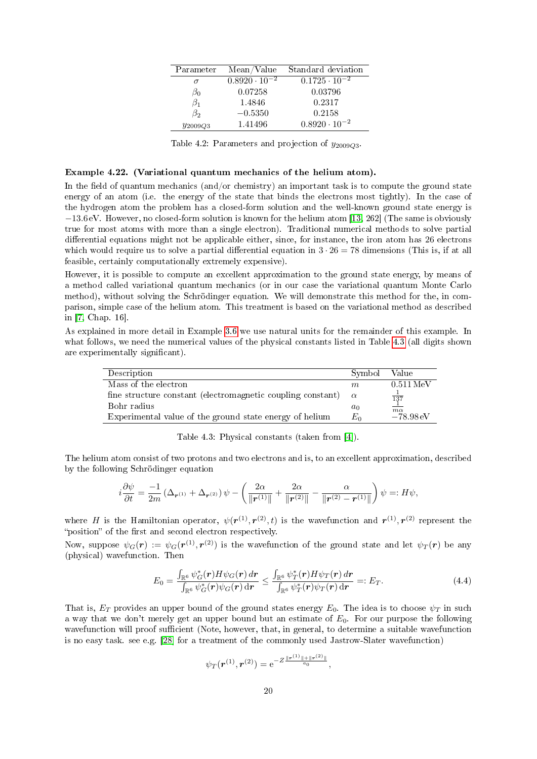| Parameter    | Mean/Value             | Standard deviation     |
|--------------|------------------------|------------------------|
| $\sigma$     | $0.8920 \cdot 10^{-2}$ | $0.1725 \cdot 10^{-2}$ |
| $\beta_0$    | 0.07258                | 0.03796                |
| $\beta_1$    | 1.4846                 | 0.2317                 |
| $\beta_2$    | $-0.5350$              | 0.2158                 |
| $y_{2009Q3}$ | 1.41496                | $0.8920 \cdot 10^{-2}$ |

<span id="page-20-1"></span>Table 4.2: Parameters and projection of  $y_{2009Q3}$ .

#### <span id="page-20-0"></span>Example 4.22. (Variational quantum mechanics of the helium atom).

In the field of quantum mechanics (and/or chemistry) an important task is to compute the ground state energy of an atom (i.e. the energy of the state that binds the electrons most tightly). In the case of the hydrogen atom the problem has a closed-form solution and the well-known ground state energy is −13.6 eV. However, no closed-form solution is known for the helium atom [\[13,](#page-24-13) 262] (The same is obviously true for most atoms with more than a single electron). Traditional numerical methods to solve partial differential equations might not be applicable either, since, for instance, the iron atom has 26 electrons which would require us to solve a partial differential equation in  $3 \cdot 26 = 78$  dimensions (This is, if at all feasible, certainly computationally extremely expensive).

However, it is possible to compute an excellent approximation to the ground state energy, by means of a method called variational quantum mechanics (or in our case the variational quantum Monte Carlo method), without solving the Schrödinger equation. We will demonstrate this method for the, in comparison, simple case of the helium atom. This treatment is based on the variational method as described in [\[7,](#page-24-14) Chap. 16].

As explained in more detail in Example [3.6](#page-8-1) we use natural units for the remainder of this example. In what follows, we need the numerical values of the physical constants listed in Table [4.3](#page-20-2) (all digits shown are experimentally significant).

| Description                                                 | Symbol   | Value                  |
|-------------------------------------------------------------|----------|------------------------|
| Mass of the electron                                        | m        | $0.511$ MeV            |
| fine structure constant (electromagnetic coupling constant) | $\alpha$ | $\frac{1}{137}$        |
| Bohr radius                                                 | $a_0$    | $m\alpha$              |
| Experimental value of the ground state energy of helium     | $E_0$    | $-78.98 \,\mathrm{eV}$ |

<span id="page-20-2"></span>Table 4.3: Physical constants (taken from [\[4\]](#page-24-4)).

The helium atom consist of two protons and two electrons and is, to an excellent approximation, described by the following Schrödinger equation

$$
i\frac{\partial\psi}{\partial t}=\frac{-1}{2m}\left(\Delta_{\boldsymbol{r}^{(1)}}+\Delta_{\boldsymbol{r}^{(2)}}\right)\psi-\left(\frac{2\alpha}{\|\boldsymbol{r}^{(1)}\|}+\frac{2\alpha}{\|\boldsymbol{r}^{(2)}\|}-\frac{\alpha}{\|\boldsymbol{r}^{(2)}-\boldsymbol{r}^{(1)}\|}\right)\psi=:H\psi,
$$

where H is the Hamiltonian operator,  $\psi(r^{(1)}, r^{(2)}, t)$  is the wavefunction and  $r^{(1)}, r^{(2)}$  represent the "position" of the first and second electron respectively.

Now, suppose  $\psi_G(\bm{r}) := \psi_G(\bm{r}^{(1)},\bm{r}^{(2)})$  is the wavefunction of the ground state and let  $\psi_T(\bm{r})$  be any (physical) wavefunction. Then

<span id="page-20-3"></span>
$$
E_0 = \frac{\int_{\mathbb{R}^6} \psi_G^*(\mathbf{r}) H \psi_G(\mathbf{r}) d\mathbf{r}}{\int_{\mathbb{R}^6} \psi_G^*(\mathbf{r}) \psi_G(\mathbf{r}) d\mathbf{r}} \le \frac{\int_{\mathbb{R}^6} \psi_T^*(\mathbf{r}) H \psi_T(\mathbf{r}) d\mathbf{r}}{\int_{\mathbb{R}^6} \psi_T^*(\mathbf{r}) \psi_T(\mathbf{r}) d\mathbf{r}} =: E_T.
$$
\n(4.4)

That is,  $E_T$  provides an upper bound of the ground states energy  $E_0$ . The idea is to choose  $\psi_T$  in such a way that we don't merely get an upper bound but an estimate of  $E_0$ . For our purpose the following wavefunction will proof sufficient (Note, however, that, in general, to determine a suitable wavefunction is no easy task. see e.g. [\[28\]](#page-25-11) for a treatment of the commonly used Jastrow-Slater wavefunction)

$$
\psi_T(\bm{r}^{(1)}, \bm{r}^{(2)}) = e^{-Z\frac{\|\bm{r}^{(1)}\|+\|\bm{r}^{(2)}\|}{a_0}},
$$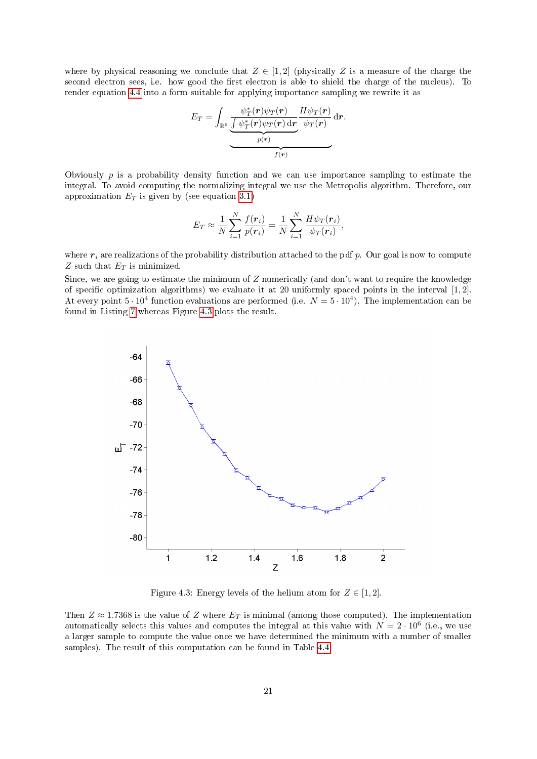where by physical reasoning we conclude that  $Z \in [1,2]$  (physically Z is a measure of the charge the second electron sees, i.e. how good the first electron is able to shield the charge of the nucleus). To render equation [4.4](#page-20-3) into a form suitable for applying importance sampling we rewrite it as

$$
E_T = \int_{\mathbb{R}^6} \underbrace{\frac{\psi_T^*(\mathbf{r})\psi_T(\mathbf{r})}{\int \psi_T^*(\mathbf{r})\psi_T(\mathbf{r}) \, d\mathbf{r}}}_{p(\mathbf{r})} \frac{H\psi_T(\mathbf{r})}{\psi_T(\mathbf{r})} \, d\mathbf{r}.
$$

Obviously  $p$  is a probability density function and we can use importance sampling to estimate the integral. To avoid computing the normalizing integral we use the Metropolis algorithm. Therefore, our approximation  $E_T$  is given by (see equation [3.1\)](#page-5-1)

$$
E_T \approx \frac{1}{N} \sum_{i=1}^N \frac{f(\mathbf{r}_i)}{p(\mathbf{r}_i)} = \frac{1}{N} \sum_{i=1}^N \frac{H\psi_T(\mathbf{r}_i)}{\psi_T(\mathbf{r}_i)},
$$

where  $r_i$  are realizations of the probability distribution attached to the pdf p. Our goal is now to compute  $Z$  such that  $E_T$  is minimized.

Since, we are going to estimate the minimum of Z numerically (and don't want to require the knowledge of specific optimization algorithms) we evaluate it at 20 uniformly spaced points in the interval  $[1, 2]$ . At every point  $5 \cdot 10^4$  function evaluations are performed (i.e.  $N = 5 \cdot 10^4$ ). The implementation can be found in Listing [7](#page-33-0) whereas Figure [4.3](#page-21-0) plots the result.



<span id="page-21-0"></span>Figure 4.3: Energy levels of the helium atom for  $Z \in [1, 2]$ .

Then  $Z \approx 1.7368$  is the value of Z where  $E_T$  is minimal (among those computed). The implementation automatically selects this values and computes the integral at this value with  $N = 2 \cdot 10^6$  (i.e., we use a larger sample to compute the value once we have determined the minimum with a number of smaller samples). The result of this computation can be found in Table [4.4.](#page-22-2)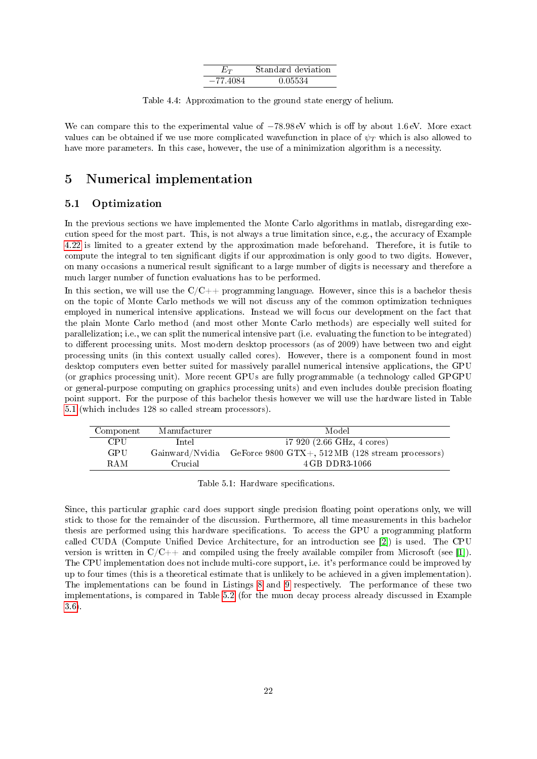<span id="page-22-2"></span>

| $E_T$      | Standard deviation |
|------------|--------------------|
| $-77.4084$ | 0.05534            |

Table 4.4: Approximation to the ground state energy of helium.

We can compare this to the experimental value of  $-78.98 \text{ eV}$  which is off by about 1.6 eV. More exact values can be obtained if we use more complicated wavefunction in place of  $\psi_T$  which is also allowed to have more parameters. In this case, however, the use of a minimization algorithm is a necessity.

## <span id="page-22-0"></span>5 Numerical implementation

#### <span id="page-22-1"></span>5.1 Optimization

In the previous sections we have implemented the Monte Carlo algorithms in matlab, disregarding execution speed for the most part. This, is not always a true limitation since, e.g., the accuracy of Example [4.22](#page-20-0) is limited to a greater extend by the approximation made beforehand. Therefore, it is futile to compute the integral to ten signicant digits if our approximation is only good to two digits. However, on many occasions a numerical result signicant to a large number of digits is necessary and therefore a much larger number of function evaluations has to be performed.

In this section, we will use the  $C/C++$  programming language. However, since this is a bachelor thesis on the topic of Monte Carlo methods we will not discuss any of the common optimization techniques employed in numerical intensive applications. Instead we will focus our development on the fact that the plain Monte Carlo method (and most other Monte Carlo methods) are especially well suited for parallelization; i.e., we can split the numerical intensive part (i.e. evaluating the function to be integrated) to different processing units. Most modern desktop processors (as of 2009) have between two and eight processing units (in this context usually called cores). However, there is a component found in most desktop computers even better suited for massively parallel numerical intensive applications, the GPU (or graphics processing unit). More recent GPUs are fully programmable (a technology called GPGPU or general-purpose computing on graphics processing units) and even includes double precision floating point support. For the purpose of this bachelor thesis however we will use the hardware listed in Table [5.1](#page-22-3) (which includes 128 so called stream processors).

| Component  | Manufacturer | Model                                                             |
|------------|--------------|-------------------------------------------------------------------|
| <b>CPU</b> | Intel        | $17920$ (2.66 GHz, 4 cores)                                       |
| GPU        |              | Gainward/Nvidia GeForce 9800 GTX+, 512 MB (128 stream processors) |
| <b>RAM</b> | Crucial      | 4 GB DDR3-1066                                                    |

<span id="page-22-3"></span>Table 5.1: Hardware specifications.

Since, this particular graphic card does support single precision floating point operations only, we will stick to those for the remainder of the discussion. Furthermore, all time measurements in this bachelor thesis are performed using this hardware specifications. To access the GPU a programming platform called CUDA (Compute Unified Device Architecture, for an introduction see [\[2\]](#page-24-15)) is used. The CPU version is written in  $C/C++$  and compiled using the freely available compiler from Microsoft (see [\[1\]](#page-24-16)). The CPU implementation does not include multi-core support, i.e. it's performance could be improved by up to four times (this is a theoretical estimate that is unlikely to be achieved in a given implementation). The implementations can be found in Listings [8](#page-35-0) and [9](#page-37-0) respectively. The performance of these two implementations, is compared in Table [5.2](#page-23-2) (for the muon decay process already discussed in Example [3.6\)](#page-8-1).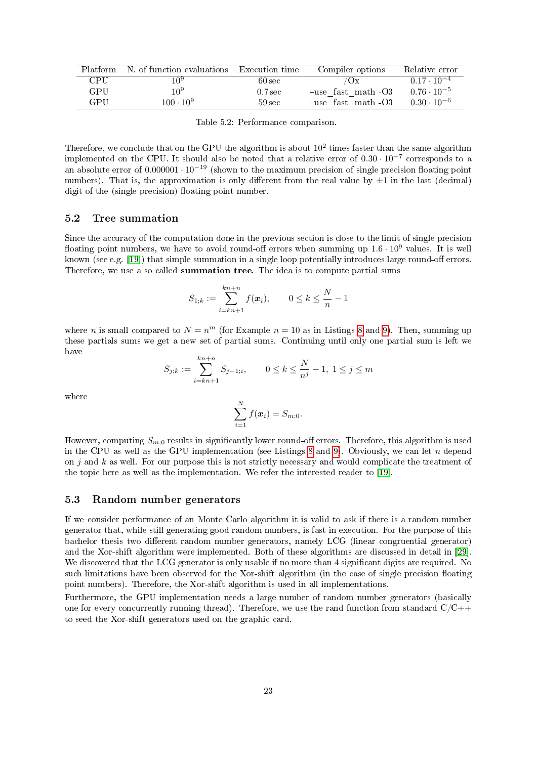| Platform | N. of function evaluations Execution time |                     | Compiler options   | Relative error       |
|----------|-------------------------------------------|---------------------|--------------------|----------------------|
| CPU.     | 10a                                       | $60 \text{ sec}$    | $U_{\rm X}$        | $0.17 \cdot 10^{-4}$ |
| GPU      | 109                                       | 0.7 <sub>sec</sub>  | -use fast math -O3 | $0.76 \cdot 10^{-5}$ |
| GPU      | $100 \cdot 10^{9}$                        | $59 \,\mathrm{sec}$ | -use fast math-03  | $0.30 \cdot 10^{-6}$ |

<span id="page-23-2"></span>Table 5.2: Performance comparison.

Therefore, we conclude that on the GPU the algorithm is about  $10^2$  times faster than the same algorithm implemented on the CPU. It should also be noted that a relative error of  $0.30 \cdot 10^{-7}$  corresponds to a an absolute error of  $0.000001 \cdot 10^{-19}$  (shown to the maximum precision of single precision floating point numbers). That is, the approximation is only different from the real value by  $\pm 1$  in the last (decimal) digit of the (single precision) floating point number.

#### <span id="page-23-0"></span>5.2 Tree summation

Since the accuracy of the computation done in the previous section is close to the limit of single precision floating point numbers, we have to avoid round-off errors when summing up  $1.6 \cdot 10^9$  values. It is well known (see e.g. [\[19\]](#page-25-12)) that simple summation in a single loop potentially introduces large round-off errors. Therefore, we use a so called summation tree. The idea is to compute partial sums

$$
S_{1;k} := \sum_{i=kn+1}^{kn+n} f(x_i), \qquad 0 \le k \le \frac{N}{n} - 1
$$

where *n* is small compared to  $N = n^m$  (for Example  $n = 10$  as in Listings [8](#page-35-0) and [9\)](#page-37-0). Then, summing up these partials sums we get a new set of partial sums. Continuing until only one partial sum is left we have

$$
S_{j;k} := \sum_{i=kn+1}^{kn+n} S_{j-1;i}, \qquad 0 \le k \le \frac{N}{n^j} - 1, \ 1 \le j \le m
$$

where

$$
\sum_{i=1}^N f(\boldsymbol{x}_i) = S_{m;0}.
$$

However, computing  $S_{m;0}$  results in significantly lower round-off errors. Therefore, this algorithm is used in the CPU as well as the GPU implementation (see Listings [8](#page-35-0) and [9\)](#page-37-0). Obviously, we can let  $n$  depend on  $j$  and  $k$  as well. For our purpose this is not strictly necessary and would complicate the treatment of the topic here as well as the implementation. We refer the interested reader to [\[19\]](#page-25-12).

#### <span id="page-23-1"></span>5.3 Random number generators

If we consider performance of an Monte Carlo algorithm it is valid to ask if there is a random number generator that, while still generating good random numbers, is fast in execution. For the purpose of this bachelor thesis two different random number generators, namely LCG (linear congruential generator) and the Xor-shift algorithm were implemented. Both of these algorithms are discussed in detail in [\[29\]](#page-25-13). We discovered that the LCG generator is only usable if no more than 4 significant digits are required. No such limitations have been observed for the Xor-shift algorithm (in the case of single precision floating point numbers). Therefore, the Xor-shift algorithm is used in all implementations.

Furthermore, the GPU implementation needs a large number of random number generators (basically one for every concurrently running thread). Therefore, we use the rand function from standard  $C/C++$ to seed the Xor-shift generators used on the graphic card.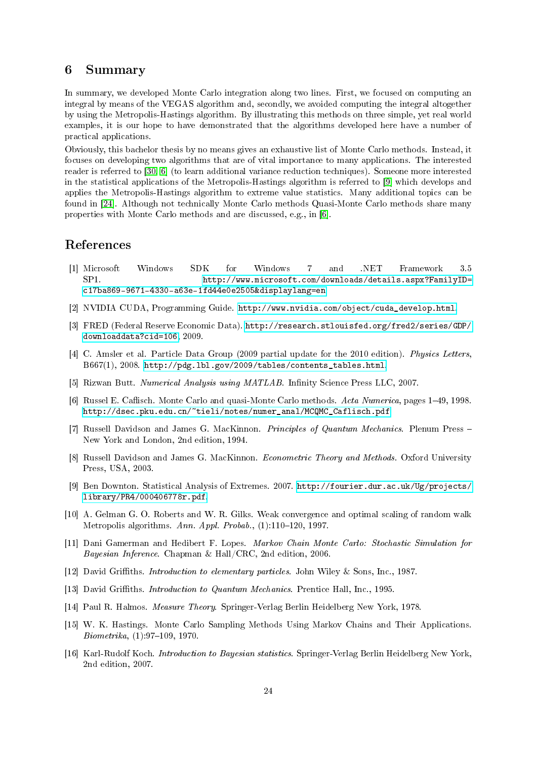#### <span id="page-24-0"></span>6 Summary

In summary, we developed Monte Carlo integration along two lines. First, we focused on computing an integral by means of the VEGAS algorithm and, secondly, we avoided computing the integral altogether by using the Metropolis-Hastings algorithm. By illustrating this methods on three simple, yet real world examples, it is our hope to have demonstrated that the algorithms developed here have a number of practical applications.

Obviously, this bachelor thesis by no means gives an exhaustive list of Monte Carlo methods. Instead, it focuses on developing two algorithms that are of vital importance to many applications. The interested reader is referred to [\[30,](#page-25-5) [6\]](#page-24-2) (to learn additional variance reduction techniques). Someone more interested in the statistical applications of the Metropolis-Hastings algorithm is referred to [\[9\]](#page-24-5) which develops and applies the Metropolis-Hastings algorithm to extreme value statistics. Many additional topics can be found in [\[24\]](#page-25-7). Although not technically Monte Carlo methods Quasi-Monte Carlo methods share many properties with Monte Carlo methods and are discussed, e.g., in [\[6\]](#page-24-2).

### References

- <span id="page-24-16"></span>[1] Microsoft Windows SDK for Windows 7 and .NET Framework 3.5 SP1. [http://www.microsoft.com/downloads/details.aspx?FamilyID=](http://www.microsoft.com/downloads/details.aspx?FamilyID=c17ba869-9671-4330-a63e-1fd44e0e2505&displaylang=en) [c17ba869-9671-4330-a63e-1fd44e0e2505&displaylang=en.](http://www.microsoft.com/downloads/details.aspx?FamilyID=c17ba869-9671-4330-a63e-1fd44e0e2505&displaylang=en)
- <span id="page-24-15"></span>[2] NVIDIA CUDA, Programming Guide. [http://www.nvidia.com/object/cuda\\_develop.html.](http://www.nvidia.com/object/cuda_develop.html)
- <span id="page-24-12"></span>[3] FRED (Federal Reserve Economic Data). [http://research.stlouisfed.org/fred2/series/GDP/](http://research.stlouisfed.org/fred2/series/GDP/downloaddata?cid=106) [downloaddata?cid=106,](http://research.stlouisfed.org/fred2/series/GDP/downloaddata?cid=106) 2009.
- <span id="page-24-4"></span>[4] C. Amsler et al. Particle Data Group (2009 partial update for the 2010 edition). Physics Letters, B667(1), 2008. [http://pdg.lbl.gov/2009/tables/contents\\_tables.html.](http://pdg.lbl.gov/2009/tables/contents_tables.html)
- <span id="page-24-1"></span>[5] Rizwan Butt. Numerical Analysis using MATLAB. Infinity Science Press LLC, 2007.
- <span id="page-24-2"></span>[6] Russel E. Caflisch. Monte Carlo and quasi-Monte Carlo methods. Acta Numerica, pages 1–49, 1998. [http://dsec.pku.edu.cn/~tieli/notes/numer\\_anal/MCQMC\\_Caflisch.pdf.](http://dsec.pku.edu.cn/~tieli/notes/numer_anal/MCQMC_Caflisch.pdf)
- <span id="page-24-14"></span>[7] Russell Davidson and James G. MacKinnon. Principles of Quantum Mechanics. Plenum Press New York and London, 2nd edition, 1994.
- <span id="page-24-11"></span>[8] Russell Davidson and James G. MacKinnon. Econometric Theory and Methods. Oxford University Press, USA, 2003.
- <span id="page-24-5"></span>[9] Ben Downton. Statistical Analysis of Extremes. 2007. [http://fourier.dur.ac.uk/Ug/projects/](http://fourier.dur.ac.uk/Ug/projects/library/PR4/000406778r.pdf) [library/PR4/000406778r.pdf.](http://fourier.dur.ac.uk/Ug/projects/library/PR4/000406778r.pdf)
- <span id="page-24-9"></span>[10] A. Gelman G. O. Roberts and W. R. Gilks. Weak convergence and optimal scaling of random walk Metropolis algorithms. Ann. Appl. Probab.,  $(1)$ :110-120, 1997.
- <span id="page-24-6"></span>[11] Dani Gamerman and Hedibert F. Lopes. Markov Chain Monte Carlo: Stochastic Simulation for Bayesian Inference. Chapman & Hall/CRC, 2nd edition, 2006.
- <span id="page-24-3"></span>[12] David Griths. Introduction to elementary particles. John Wiley & Sons, Inc., 1987.
- <span id="page-24-13"></span>[13] David Griffiths. *Introduction to Quantum Mechanics*. Prentice Hall, Inc., 1995.
- <span id="page-24-7"></span>[14] Paul R. Halmos. Measure Theory. Springer-Verlag Berlin Heidelberg New York, 1978.
- <span id="page-24-8"></span>[15] W. K. Hastings. Monte Carlo Sampling Methods Using Markov Chains and Their Applications.  $Biometrika, (1):97–109, 1970.$
- <span id="page-24-10"></span>[16] Karl-Rudolf Koch. Introduction to Bayesian statistics. Springer-Verlag Berlin Heidelberg New York, 2nd edition, 2007.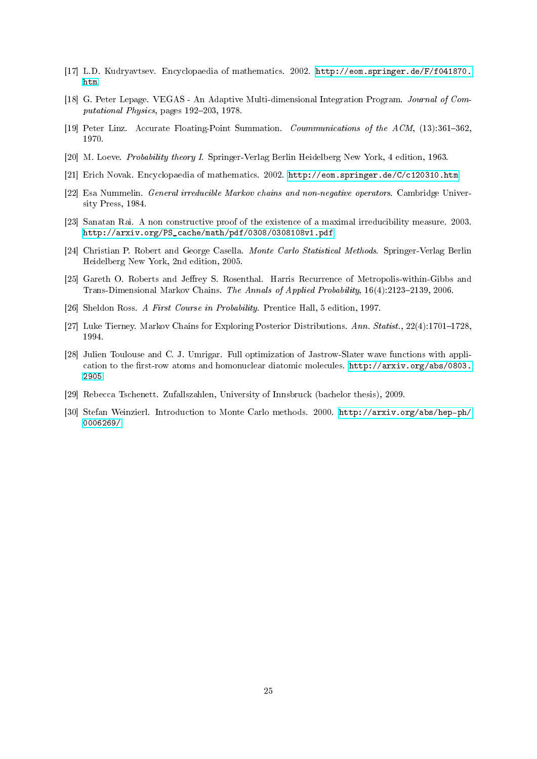- <span id="page-25-0"></span>[17] L.D. Kudryavtsev. Encyclopaedia of mathematics. 2002. [http://eom.springer.de/F/f041870.](http://eom.springer.de/F/f041870.htm) [htm.](http://eom.springer.de/F/f041870.htm)
- <span id="page-25-6"></span>[18] G. Peter Lepage. VEGAS - An Adaptive Multi-dimensional Integration Program. Journal of Computational Physics, pages  $192-203$ , 1978.
- <span id="page-25-12"></span>[19] Peter Linz. Accurate Floating-Point Summation. *Coummunications of the ACM*,  $(13):361-362$ , 1970.
- <span id="page-25-2"></span>[20] M. Loeve. Probability theory I. Springer-Verlag Berlin Heidelberg New York, 4 edition, 1963.
- <span id="page-25-1"></span>[21] Erich Novak. Encyclopaedia of mathematics. 2002. [http://eom.springer.de/C/c120310.htm.](http://eom.springer.de/C/c120310.htm)
- <span id="page-25-4"></span>[22] Esa Nummelin. General irreducible Markov chains and non-negative operators. Cambridge University Press, 1984.
- <span id="page-25-8"></span>[23] Sanatan Rai. A non constructive proof of the existence of a maximal irreducibility measure. 2003. [http://arxiv.org/PS\\_cache/math/pdf/0308/0308108v1.pdf.](http://arxiv.org/PS_cache/math/pdf/0308/0308108v1.pdf)
- <span id="page-25-7"></span>[24] Christian P. Robert and George Casella. Monte Carlo Statistical Methods. Springer-Verlag Berlin Heidelberg New York, 2nd edition, 2005.
- <span id="page-25-10"></span>[25] Gareth O. Roberts and Jeffrey S. Rosenthal. Harris Recurrence of Metropolis-within-Gibbs and Trans-Dimensional Markov Chains. The Annals of Applied Probability,  $16(4):2123-2139$ , 2006.
- <span id="page-25-3"></span>[26] Sheldon Ross. A First Course in Probability. Prentice Hall, 5 edition, 1997.
- <span id="page-25-9"></span>[27] Luke Tierney. Markov Chains for Exploring Posterior Distributions. Ann. Statist.,  $22(4):1701-1728$ , 1994.
- <span id="page-25-11"></span>[28] Julien Toulouse and C. J. Umrigar. Full optimization of Jastrow-Slater wave functions with application to the first-row atoms and homonuclear diatomic molecules. [http://arxiv.org/abs/0803.](http://arxiv.org/abs/0803.2905) [2905.](http://arxiv.org/abs/0803.2905)
- <span id="page-25-13"></span>[29] Rebecca Tschenett. Zufallszahlen, University of Innsbruck (bachelor thesis), 2009.
- <span id="page-25-5"></span>[30] Stefan Weinzierl. Introduction to Monte Carlo methods. 2000. [http://arxiv.org/abs/hep-ph/](http://arxiv.org/abs/hep-ph/0006269/) [0006269/.](http://arxiv.org/abs/hep-ph/0006269/)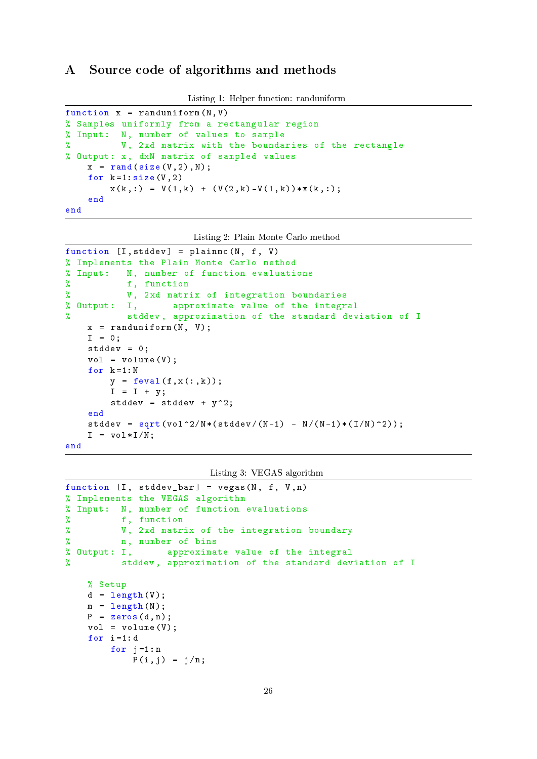## <span id="page-26-0"></span>A Source code of algorithms and methods

```
Listing 1: Helper function: randuniform
```

```
function x = \text{random} (N, V)
% Samples uniformly from a rectangular region
% Input : N, number of values to sample
% V, 2xd matrix with the boundaries of the rectangle
% Output: x, dxN matrix of sampled values
    x = \text{rand}(\text{size}(V, 2), N);for k = 1: size(V, 2)x (k, :) = V(1, k) + (V(2, k) - V(1, k)) * x(k, :);end
```

```
end
```

```
Listing 2: Plain Monte Carlo method
```

```
function [I,stddev] = plainmc(N, f, V)% Implements the Plain Monte Carlo method
% Input: N, number of function evaluations
% f, function
% V, 2xd matrix of integration boundaries
% Output: I, approximate value of the integral
% stddev , approximation of the standard deviation of I
   x = \text{randomiform}(N, V);I = 0;stddev = 0;
   vol = volume(V);for k = 1 : Ny = feval(f, x(:, k));I = I + y;stddev = stddev + y^2;
    end
    stddev = sqrt(vol^2/N*(stdev/(N-1) - N/(N-1)*(I/N)^2));I = vol*I/N;
```
end

Listing 3: VEGAS algorithm

```
function [I, stddev_bar] = vegas(N, f, V, n)% Implements the VEGAS algorithm
% Input: N, number of function evaluations
% f, function
% V, 2xd matrix of the integration boundary
% n, number of bins
% Output: I, approximate value of the integral
% stddev , approximation of the standard deviation of I
   % Setup
   d = length(V);m = length(N);P = zeros(d, n);vol = volume(V);for i=1:dfor j=1:nP(i, j) = j/n;
```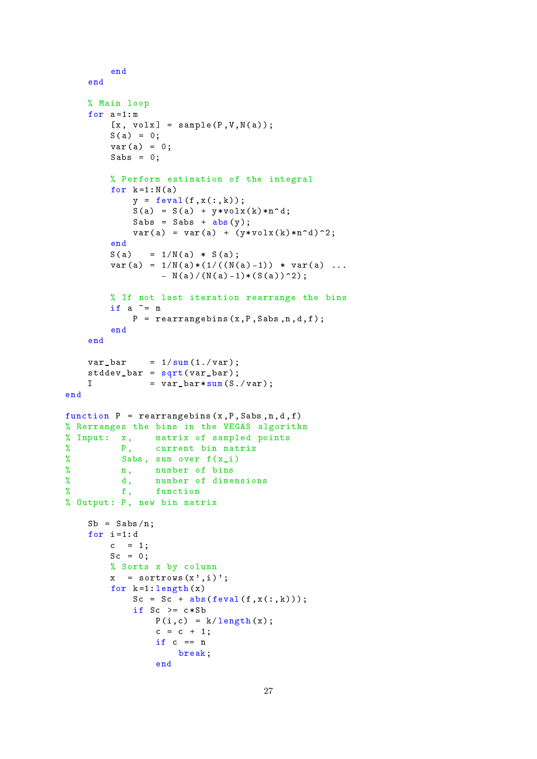```
end
    end
    % Main loop
    for a = 1:m[x, volx] = sample(P, V, N(a));S(a) = 0;var(a) = 0;Sabs = 0;
         % Perform estimation of the integral
         for k = 1 : N(a)y = feval(f, x(:, k));S(a) = S(a) + y * volx(k) * n^d;Sabs = Sabs + abs(y);
             var(a) = var(a) + (y * volx(k) * n^d)^2;\frac{end}{S(a)}= 1/N(a) * S(a);var(a) = 1/N(a)*(1/((N(a)-1)) * var(a) ...- N(a)/(N(a)-1)*(S(a))^2;% If not last iteration rearrange the bins
         if a \tilde{=} m
             P = rearrangebins(x, P, Sabs, n, d, f);end
    end
    var_bar = 1/\text{sum}(1./\text{var});stddev_bar = sqrt ( var_bar );
    I = var_bar * sum(S./var);
end
function P = rearrangebins(x, P, Sabs, n, d, f)% Rerranges the bins in the VEGAS algorithm
% Input: x, matrix of sampled points
% P, current bin matrix<br>% Sabs, sum over f(x i)
\begin{array}{ccc} \n\% & \text{Sabs, sum over } f(x_i) \\
\% & \text{n. number of bins}\n\end{array}n, number of bins
% d, number of dimensions
% f, function
% Output: P, new bin matrix
    Sb = Sabs/n;for i=1:dc = 1;Sc = 0;% Sorts x by column
         x = sortrows(x', i);
         for k = 1: length(x)Sc = Sc + abs (feval(f, x(:, k)));
             if Sc \geq c * SbP(i, c) = k / length(x);c = c + 1;if c == nbreak ;
                  end
```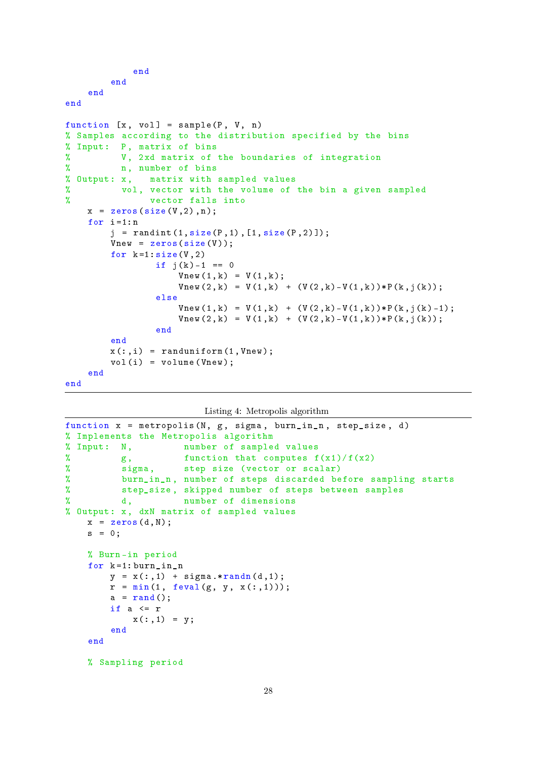```
end
        end
    end
end
function [x, vol] = sample(P, V, n)% Samples according to the distribution specified by the bins
% Input: P, matrix of bins
% V, 2xd matrix of the boundaries of integration
% n, number of bins
% Output : x, matrix with sampled values
% vol , vector with the volume of the bin a given sampled
% vector falls into
    x = zeros (size (V, 2), n);for i = 1:nj = \text{randint}(1, \text{size}(P, 1), [1, \text{size}(P, 2)]);Vnew = zeros(size(V));
        for k = 1: size(V, 2)if j(k) - 1 == 0Vnew(1, k) = V(1, k);Vnew(2, k) = V(1, k) + (V(2, k) - V(1, k)) * P(k, j(k));else
                     Vnew(1, k) = V(1, k) + (V(2, k) - V(1, k)) * P(k, j(k) - 1);Vnew(2, k) = V(1, k) + (V(2, k) - V(1, k)) * P(k, j(k));end
        end
        x(:,i) = randuniform (1, Vnew);
        vol(i) = volume( Vnew);end
end
```
Listing 4: Metropolis algorithm

```
function x = metropolis (N, g, sigma, burn_in_n, step_size, d)
% Implements the Metropolis algorithm
% Input: N, mumber of sampled values
% g, function that computes f(x1)/f(x2)% sigma , step size ( vector or scalar )
% burn_in_n , number of steps discarded before sampling starts
% step_size , skipped number of steps between samples
% d, number of dimensions
% Output: x, dxN matrix of sampled values
   x = zeros(d, N);s = 0;
   % Burn -in period
    for k = 1: burn_in_ny = x(:,1) + signa.*randn(d,1);r = min(1, few all(g, y, x(:,1)));a = \text{rand}();
       if a \leq rx (:, 1) = y;
       end
    end
   % Sampling period
```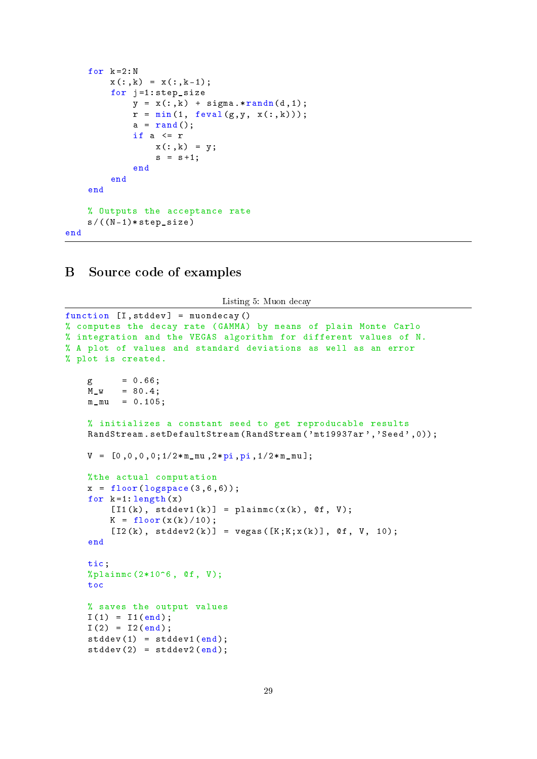```
for k = 2 : Nx(:,k) = x(:,k-1);for j=1: step_size
             y = x(:, k) + signa.*randn(d, 1);r = min(1, few all(g, y, x(:, k))),a = \text{rand}();
              if a \leq rx (:, k) = y;
                  s = s + 1;end
         end
    end
    % Outputs the acceptance rate
    s / ((N - 1) * step_size)end
```
## <span id="page-29-0"></span>B Source code of examples

Listing 5: Muon decay

```
function [I,stddev] = muondecay()% computes the decay rate ( GAMMA ) by means of plain Monte Carlo
% integration and the VEGAS algorithm for different values of N.
% A plot of values and standard deviations as well as an error
% plot is created .
    g = 0.66;
    M_{W} = 80.4;
    m_{\text{mu}} = 0.105;% initializes a constant seed to get reproducable results
    RandStream.setDefaultStream (RandStream ('mt19937ar','Seed',0));
    V = [0, 0, 0, 0; 1/2 * m_{mu}, 2 * pi, pi, 1/2 * m_{mu}];
    %the actual computation
    x = floor (logspace (3, 6, 6));
    for k = 1: length (x)[I1(k), stddev1(k)] = plainmc(x(k), 0f, V);K = floor(x(k)/10);[12(k), stddev2(k)] = vegas([K;K;X(k)], 0; 0; 10;end
    tic;
    % plainmc (2*10^6, @f, V);
    toc
    % saves the output values
    I(1) = I1(end);I(2) = I2(end);stddev(1) = stddev1(end);stddev(2) = stddev2(end);
```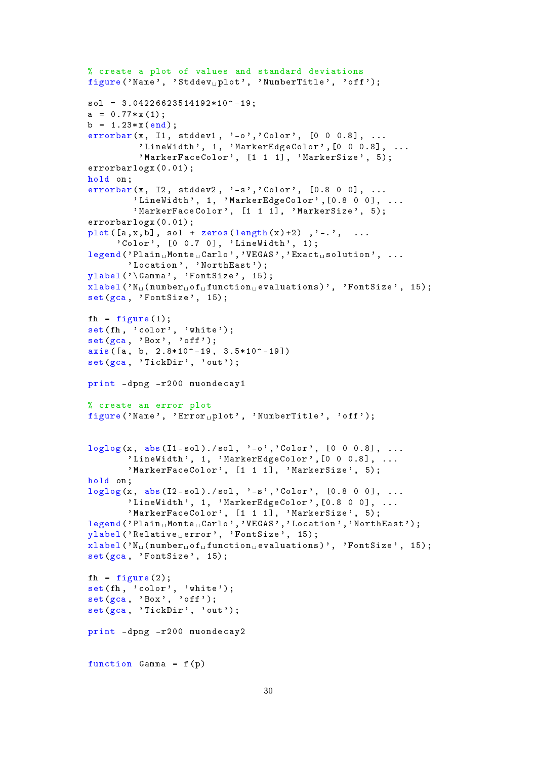```
% create a plot of values and standard deviations
figure ('Name', 'Stddev<sub>u</sub>plot', 'NumberTitle', 'off');
sol = 3.04226623514192*10^{\degree} -19;
a = 0.77*x(1);b = 1.23 * x (end);
errorbar(x, 11, stddev1, ' -o', 'Color', [0 0 0.8], ...'LineWidth', 1, 'MarkerEdgeColor', [0 0 0.8], ...
          'MarkerFaceColor', [1 1 1], 'MarkerSize', 5);
errorbarlogx (0.01);
hold on ;
errorbar(x, 12, stddev2, ' -s', 'Color', [0.8 0 0], ...'LineWidth', 1, 'MarkerEdgeColor', [0.8 0 0], ...
         'MarkerFaceColor', [1 1 1], 'MarkerSize', 5);
errorbarlogx (0.01);
plot([a, x, b], sol + zeros(length(x)+2), \dots, \dots)' Color', [0 0.7 0], ' LineWidth', 1);
legend('Plain<sub>u</sub>Monte<sub>u</sub>Carlo', 'VEGAS', 'Exact<sub>u</sub> solution', ...'Location', 'NorthEast');
vlabel(' \Gamma', 'FontSize', 15);x \text{label('N<sub>U</sub>(number<sub>U</sub>of<sub>U</sub>function<sub>U</sub>evaluations)', 'FontSize', 15);
set(gca, 'FontSize', 15);fh = figure (1);
set(fh, 'color', 'white');
set(gca, 'Box', 'off');axis([a, b, 2.8*10^{\circ}-19, 3.5*10^{\circ}-19])set (gca, 'TickDir', 'out');
print - dpng - r200 muondecay1
% create an error plot
figure ('Name', 'Error_{\Box}plot', 'NumberTitle', 'off');
loglog(x, abs(11-sol)./sol, '-o','Color', [0 0 0.8], ...
        'LineWidth', 1, 'MarkerEdgeColor', [0 0 0.8], ...
        'MarkerFaceColor', [1 1 1], 'MarkerSize', 5);
hold on:
loglog(x, abs(12-sol)./sol, ' -s', 'Color', [0.8 0 0], ...'LineWidth', 1, 'MarkerEdgeColor', [0.8 0 0], ...
        'MarkerFaceColor', [1 1 1], 'MarkerSize', 5);
legend ('Plain<sub>u</sub>Monte<sub>u</sub>Carlo','VEGAS','Location','NorthEast');
ylabel ('Relative<sub>u</sub>error', 'FontSize', 15);
xlabel ('N_{\text{u}} (number _{\text{u}} of _{\text{u}} function _{\text{u}} evaluations ) ', 'FontSize', 15);
set(gca, 'FontSize', 15);
fh = figure(2);set(fh, 'color', 'white');
set(gca, 'Box', 'off');set(gca, 'TickDir', 'out');
print - dpng - r200 muondecay2
function Gamma = f(p)
```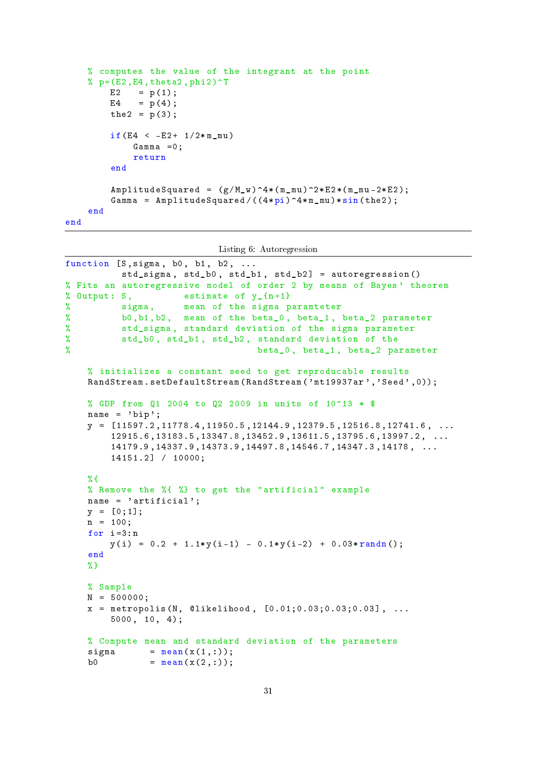```
% computes the value of the integrant at the point
    % p = (E2, E4, \text{theta2}, \text{phi2})^TE2 = p(1);
        E4 = p(4);
         the2 = p(3);
         if(E4 < -E2 + 1/2*mmu)Gamma =0;
             return
         end
         AmplitudeSquared = (g/M_w)^4*(m_mw)<sup>2*</sup>E2*(m_mw -2* E2);
         Gamma = AmplitudeSquared/((4*pi)^24*m_mu)*sin (the2);
    end
end
```
Listing 6: Autoregression

```
function [S, sigma, b0, b1, b2, ...]std_sigma , std_b0 , std_b1 , std_b2 ] = autoregression ()
% Fits an autoregressive model of order 2 by means of Bayes ' theorem
% Output: S, estimate of y \{n+1\}% sigma , mean of the sigma paramteter
% b0 ,b1 ,b2 , mean of the beta_0 , beta_1 , beta_2 parameter
% std_sigma , standard deviation of the sigma parameter
% std_b0 , std_b1 , std_b2 , standard deviation of the
% beta_0 , beta_1 , beta_2 parameter
   % initializes a constant seed to get reproducable results
    RandStream.setDefaultStream (RandStream ('mt19937ar','Seed',0));
   % GDP from Q1 2004 to Q2 2009 in units of 10^13 * $
    name = 'bip';y = [11597.2, 11778.4, 11950.5, 12144.9, 12379.5, 12516.8, 12741.6, \ldots]12915.6 ,13183.5 ,13347.8 ,13452.9 ,13611.5 ,13795.6 ,13997.2 , ...
        14179.9 ,14337.9 ,14373.9 ,14497.8 ,14546.7 ,14347.3 ,14178 , ...
        14151.2] / 10000;
   % f% Remove the %{ %} to get the " artificial " example
    name = 'artificial';y = [0;1];n = 100;for i = 3:ny(i) = 0.2 + 1.1*y(i-1) - 0.1*y(i-2) + 0.03*randn();
    end
   %}
   % Sample
   N = 500000;x = metropolis (N, @likelihood, [0.01; 0.03; 0.03; 0.03], ...
        5000 , 10 , 4);
   % Compute mean and standard deviation of the parameters
    sigma = mean(x(1,:));
   b0 = mean(x(2,:));
```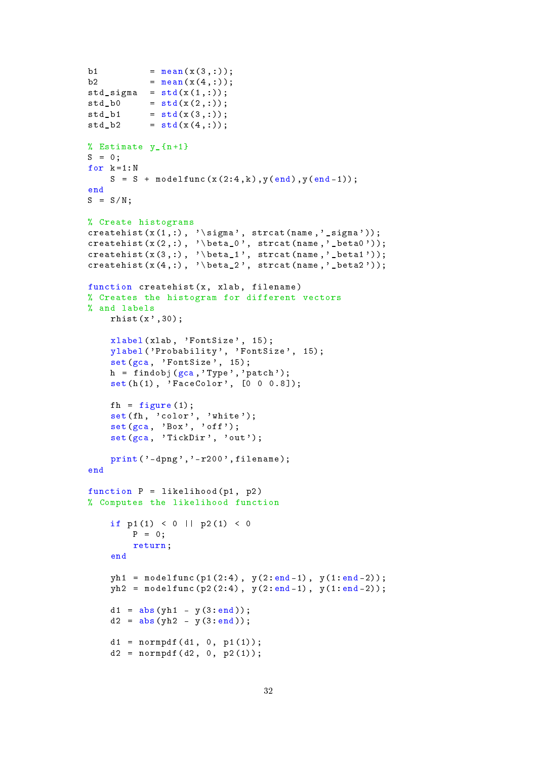```
b1 = mean(x(3,:));
b2 = mean(x(4,:));std\_sigma = std(x(1,:));std_b0 = std(x(2,:));std_b1 = std(x(3,:));std b2 = std(x(4, :));% Estimate y_{n+1}S = 0;
for k = 1 : NS = S + modelfunc(x(2:4, k), y(end), y(end-1));end
S = S/N;% Create histograms
createhist (x(1,:), \cdot) sigma', strcat (name,'_sigma'));
createhist (x(2, :), \cdot) beta_0', strcat (name,'_beta0'));
createhist(x(3,:), 'beta_1', strat(name,'beta1'));createhist (x(4, :), \cdot) beta_2', strcat (name,'_beta2'));
function createhist (x, x1ab, filename)
% Creates the histogram for different vectors
% and labels
    rhist(x', 30);
    xlabel (xlab, 'FontSize', 15);
    ylabel ('Probability', 'FontSize', 15);
    set(gca, 'FontSize', 15);
    h = findobj(gca, 'Type', 'patch');
    set(h(1), 'FaceColor', [0 0 0.8]);fh = figure(1);set(fh, 'color', 'white');set(gca, 'Box', 'off');set(gca, 'TickDir', 'out');
    print(' - dpng', ' - r200', filename);end
function P = 1ikelihood (p1, p2)% Computes the likelihood function
    if p1(1) < 0 || p2(1) < 0P = 0;
        return ;
    end
    yh1 = modelfunc(p1(2:4), y(2:end-1), y(1:end-2));yh2 = modelfunc(p2(2:4), y(2:end-1), y(1:end-2));d1 = abs(yh1 - y(3:end));d2 = abs(yh2 - y(3:end));d1 = normal f(d1, 0, p1(1));d2 = normal f(d2, 0, p2(1));
```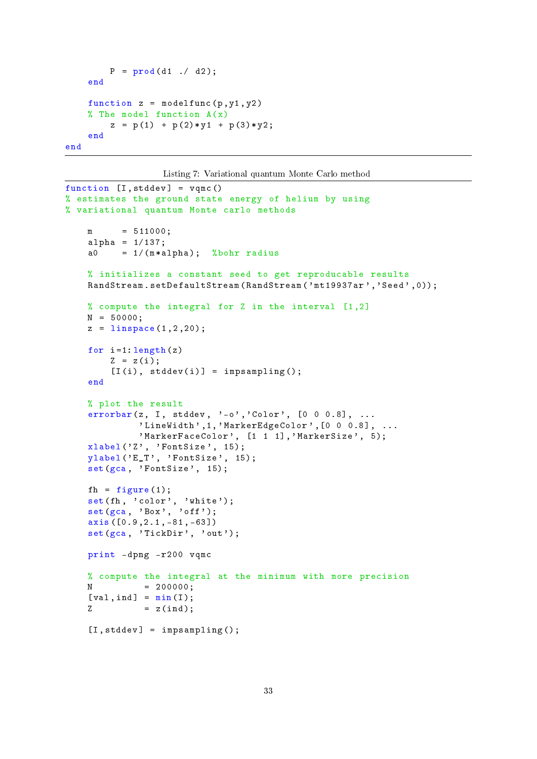```
P = prod(d1 / d2);end
    function z = modelfunc(p, y1, y2)% The model function A(x)z = p(1) + p(2) * y1 + p(3) * y2;end
end
```
Listing 7: Variational quantum Monte Carlo method

```
function [I, stddev] = vqmc()
% estimates the ground state energy of helium by using
% variational quantum Monte carlo methods
    m = 511000;alpha = 1/137;
    a0 = 1/(m*alpha); %bohr radius
    % initializes a constant seed to get reproducable results
    RandStream.setDefaultStream (RandStream ('mt19937ar','Seed',0));
    % compute the integral for Z in the interval [1,2]N = 50000;
    z = 1inspace (1, 2, 20);
    for i = 1: length(z)Z = z(i);[I(i), stddev(i)] = impsampling();end
    % plot the result
    errorbar(z, I, stddev, ' -o', 'Color', [0 0 0.8], ...'LineWidth',1,'MarkerEdgeColor', [0 0 0.8], ...
              'MarkerFaceColor', [1 1 1], 'MarkerSize', 5);
    xlabel('Z', 'FontSize', 15);vlabel('E_T', 'FontSize', 15);set(gca, 'FontSize', 15);
    fh = figure (1);
    \texttt{set}(\texttt{fh}, \overline{\phantom{a}}' \texttt{color}^{\prime}, \phantom{a}'' \texttt{white}'));
    set(gca, 'Box', 'off');
    axis ([0.9 ,2.1 , -81 , -63])
    set(gca, 'TickDir', 'out');
    print - dpng - r200 vqmc
    % compute the integral at the minimum with more precision
    N = 200000;[va1,ind] = min(I);Z = z (ind);
    [I, stddev] = impsampling();
```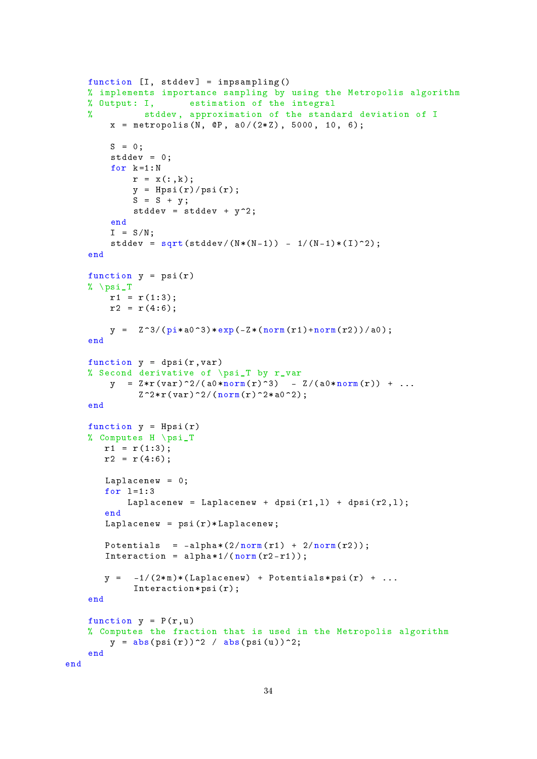```
function [I, stddev] = impsampling()% implements importance sampling by using the Metropolis algorithm
   % Output: I, estimation of the integral
   % stddev , approximation of the standard deviation of I
        x = metropolis (N, QP, a0/(2*Z), 5000, 10, 6);
        S = 0;
        stddev = 0;
        for k = 1 : Nr = x(:,k);y = Hpsi(r)/psi(r);S = S + y;stddev = stddev + y^2;
        end
        I = S/N;stddev = sqrt(stddev/(N*(N-1)) - 1/(N-1)*(I)^2);end
    function y = psi(r)% \psi_T
       r1 = r(1:3);r2 = r(4:6);y = Z^3/(pi * a^03) * exp(-Z * (norm(r1) + norm(r2)) / a^0);end
    function y = dpsi(r, var)% Second derivative of \ psi_T by r_var
        y = Z * r (var)^2/(a0 * norm(r)^3) - Z/(a0 * norm(r)) + ...Z^2* r (var)^2/(norm(r)^2* a0^2);end
    function y = Hpsi(r)% Computes H \ psi_T
       r1 = r(1:3);r2 = r(4:6);Laplacenew = 0;
       for l = 1:3Laplacenew = Laplacenew + dpsi(r1, 1) + dpsi(r2, 1);
       end
       Laplacenew = psi(r) * Laplacenew;Potentials = -\text{alpha} * (2/norm(r1) + 2/norm(r2));Interaction = alpha *1/(\text{norm}(r2-r1));y = -1/(2*m)*(Laplacenew) + Potentials*psi(r) + ...Interaction * psi(r);
    end
    function y = P(r, u)% Computes the fraction that is used in the Metropolis algorithm
        y = abs(psi(r))^2 / abs(psi(u))^2;end
end
```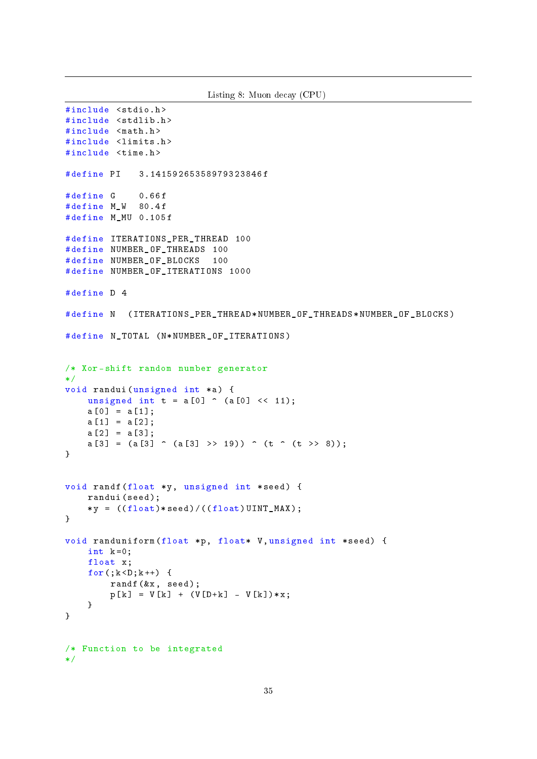```
Listing 8: Muon decay (CPU)
#include <stdio.h>
#include <stdlib.h>
#include <math.h>
#include <limits.h>
#include <time.h>
# define PI 3.14159265358979323846 f
# define G 0.66f
# define M_W 80.4 f
# define M_MU 0.105 f
# define ITERATIONS_PER_THREAD 100
# define NUMBER_OF_THREADS 100
# define NUMBER_OF_BLOCKS 100
# define NUMBER_OF_ITERATIONS 1000
# define D 4
# define N (ITERATIONS PER THREAD * NUMBER OF THREADS * NUMBER OF BLOCKS)
# define N_TOTAL (N*NUMBER_OF_ITERATIONS)
/* Xor - shift random number generator
*/
void randui (unsigned int *a) {
    unsigned int t = a[0] \hat{ } (a[0] \langle (11);
    a [0] = a [1];a [1] = a [2];a [2] = a [3];a [3] = (a [3] \cap (a [3] \rightarrow 19)) \cap (t \cap (t \rightarrow 8));}
void randf (float *y, unsigned int *seed) {
    randui ( seed );
    *y = ((float)*seed)/((float)UINT_MAX);}
void randuniform (float *p, float* V, unsigned int *seed) {
    int k = 0;
    float x;
    for (; k < D; k++) {
         randf (kx, \text{ seed});
         p[k] = V[k] + (V[D+k] - V[k]) * x;}
}
/* Function to be integrated
*/
```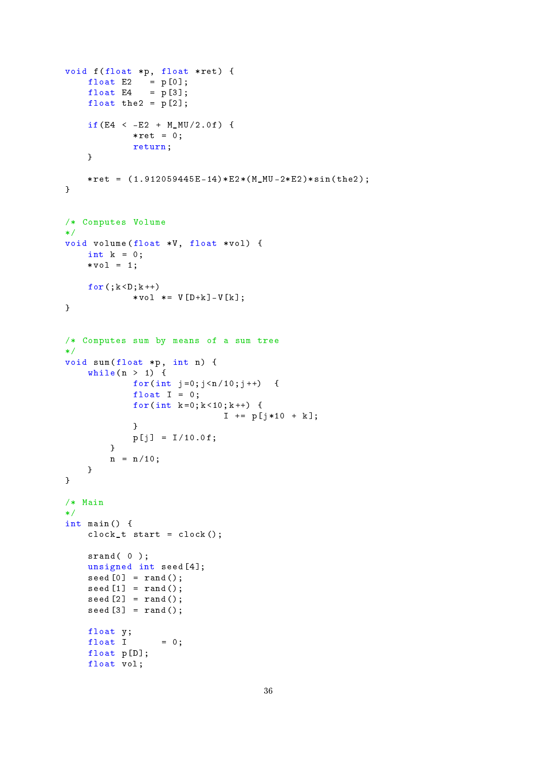```
void f (float *p, float *ret) {
    float E2 = p[0];
    float E4 = p [3];float the 2 = p[2];
    if(E4 < -E2 + M_MU/2.0 f) {
             * \text{ret} = 0;return ;
    }
    *ret = (1.912059445E-14)*E2*(M_MU-2*E2)*sin(the2);}
/* Computes Volume
*/
void volume (float *V, float *vol) {
   int k = 0;
    * vol = 1;
    for (k < D; k++)*vol *= V[D+k]-V[k];
}
/* Computes sum by means of a sum tree
*/
void sum (float *p, int n) {
    \text{while} \quad n > 1) \quad \{for(int j = 0; j < n/10; j++) {
             float I = 0;
             for(int k = 0; k < 10; k++) {
                             I += p[j*10 + k];}
            p [j] = I/10.0f;}
        n = n/10;}
}
/* Main
*/
int main () {
    clock_t start = clock();srand(0);
    unsigned int seed [4];
    seed[0] = rand();
    seed [1] = rand();
    seed [2] = rand();
    seed [3] = rand();
    float y;
    float I = 0;float p[D];
    float vol;
```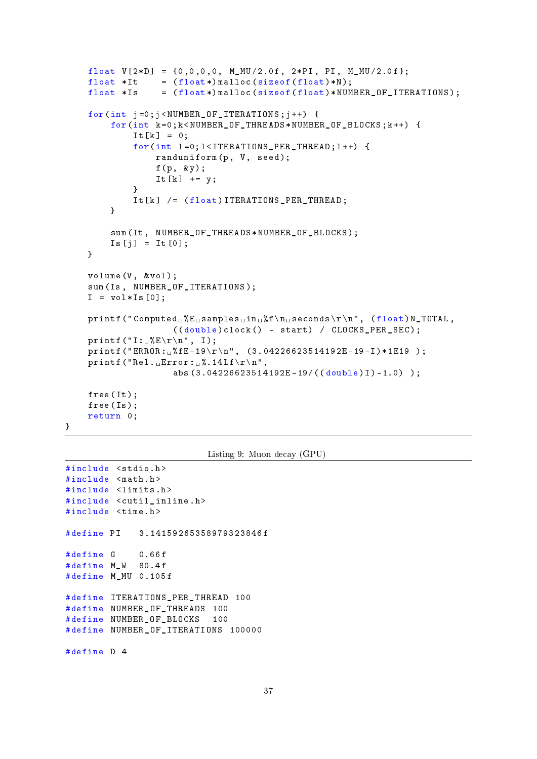```
float V[2*D] = {0,0,0,0, M_MU/2.0f, 2*PI, PI, M_MU/2.0f};float *It = (float*) malloc (sizeof (float)*N);float *Is = (flast*) malloc (sizeof (float)*NUMBER_OF_ITERATIONS);
for(int j=0; j< NUMBER_0F_ITERATIONS; j++) {
    for(int k =0; k < NUMBER_OF_THREADS * NUMBER_OF_BLOCKS ; k ++) {
         It[k] = 0;for(int l = 0; l < I \nTERATIONS PER THEAD; l++) {
              randomiform(p, V, seed);f(p, \; \; \& \; y);It[k] += y;}
         It[k] /= (flost) ITERATIONS PER THREAD;
    }
    sum ( It , NUMBER_OF_THREADS * NUMBER_OF_BLOCKS );
    Is[j] = It[0];}
volume (V, & vol);
sum ( Is , NUMBER_OF_ITERATIONS );
I = vol*Is[0];printf("Computed_u/K_L,samples_{\iota\iota\iota\iota}(n',f\n\iota\iota\iota\iota\iota) , (float) N_TOTAL,
                  ((double) clock() - start) / CLOCKS_PER_SEC);printf ("I: \mathcal{S}E\r \n\pi", I);
printf ("ERROR: \frac{6}{5}fE -19\r\n", (3.04226623514192E -19 - I)*1E19);
printf ("Rel._{\sqcup}Error:_{\sqcup}%.14Lf\r\n",
                 abs (3.04226623514192E-19/((double)I)-1.0) );
free (It);
free ( Is );
return 0;
```

```
Listing 9: Muon decay (GPU)
```

```
#include <stdio.h>
#include <math.h>
#include <limits.h>
#include <cutil inline.h>
#include <time.h>
# define PI 3.14159265358979323846 f
#define G 0.66f
# define M_W 80.4 f
# define M_MU 0.105 f
# define ITERATIONS_PER_THREAD 100
# define NUMBER_OF_THREADS 100
# define NUMBER_OF_BLOCKS 100
# define NUMBER OF ITERATIONS 100000
# define D 4
```
}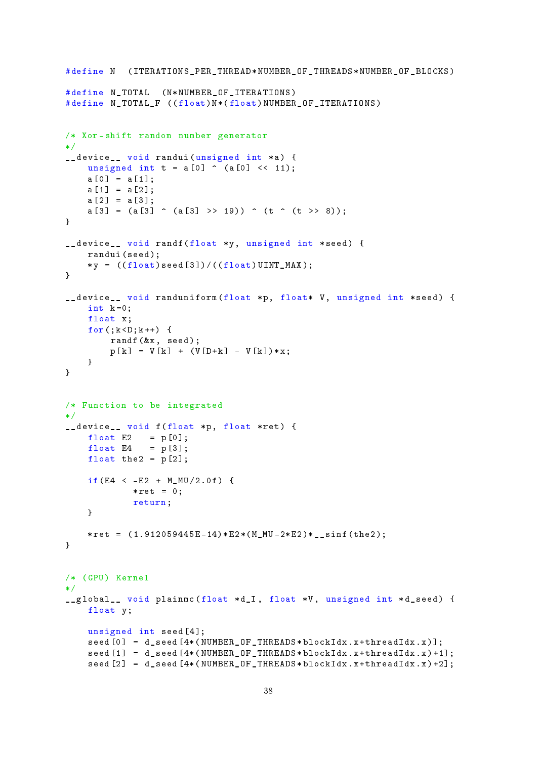```
# define N (ITERATIONS_PER_THREAD * NUMBER_OF_THREADS * NUMBER_OF_BLOCKS)
# define N_TOTAL ( N * NUMBER_OF_ITERATIONS )
# define N_TOTAL_F ((float)N*(float)NUMBER_OF_ITERATIONS)
/* Xor - shift random number generator
*/
__device__ void randui (unsigned int *a) {
    unsigned int t = a[0] \hat{ } (a[0] \langle (11);
    a [0] = a [1];a [1] = a [2];a [2] = a [3];a [3] = (a [3] \cap (a [3] \rightarrow 19)) \cap (t \cap (t \rightarrow 8));}
__device__ void randf (float *y, unsigned int *seed) {
    randui ( seed );
    *y = ((float) seed [3]) / ((float) UINT_MAX);}
__device__ void randuniform ( float *p , float * V , unsigned int * seed ) {
    int k = 0;
    float x;
    for (; k < D; k++) {
        randf (kx, \text{ seed});
        p[k] = V[k] + (V[D+k] - V[k]) * x;}
}
/* Function to be integrated
*/
__device__ void f ( float *p , float * ret ) {
    float E2 = p[0];
    float E4 = p[3];float the 2 = p[2];
    if(E4 \leq -E2 + MMU/2.0 f) {
             * \text{ret} = 0:
             return ;
    }
    * ret = (1.912059445E - 14) * E2 * (M_MU - 2*E2) * _ sinf(the2);}
/* (GPU) Kernel
*/
__global__ void plainmc ( float * d_I , float *V , unsigned int * d_seed ) {
    float y;
    unsigned int seed [4];
    seed[0] = d_seed[4*(NUMBER_0F_THREADS*blockIdx.x+threadIdx.x)];
    seed[1] = d seed [4*(NUMBER_0F_THREADS*blockIdx.x+threadIdx.x)+1];seed [2] = d\_seed [4*(NUMBER_0F_THREADS * blockIdx.x + threadIdx.x) + 2];
```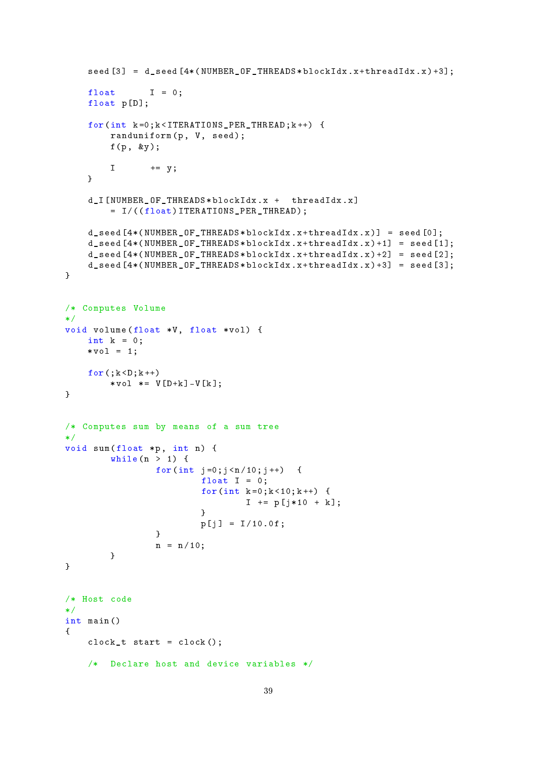```
seed [3] = d seed [4*(NUMBER_0F_THREADS * blockidx.x + threadIdx.x) + 3];float I = 0;float p[D];
    for(int k =0; k < ITERATIONS_PER_THREAD ; k ++) {
         randomiform(p, V, seed);f (p , & y );
         I \qquad \qquad += \quad y;}
    d_I [ NUMBER_OF_THREADS * blockIdx . x + threadIdx . x ]
         = I /(( float ) ITERATIONS_PER_THREAD );
    d<sub>-</sub>seed [4*(NUMBER_0F_THREADS * blockIdx . x + threadIdx . x)] = seed [0];d seed [4*(NUMBER_0F_THREADS * blockIdx . x + threadIdx . x) + 1] = seed [1];d<sub>-</sub>seed [4*(NUMBER_0F_THREADS * blockIdx.x + threadIdx.x) + 2] = seed [2];d seed [4*(NUMBER_0F_THREADS * blockIdx.x + thresholddx.x) +3] = seed [3];}
/* Computes Volume
*/
void volume (float *V, float *vol) {
    int k = 0;
    * vol = 1;
    for (k < D; k++)* vol *= V[D+k] - V[k];}
/* Computes sum by means of a sum tree
*/
void sum (float *p, int n) {
         while (n > 1) {
                  for(int j = 0; j < n/10; j++) {
                            float I = 0;
                            for(int k = 0; k < 10; k++) {
                                     I += p [j * 10 + k];}
                            p [j] = I/10.0f;}
                  n = n / 10;
         }
}
/* Host code
*/
int main ()
{
    clock_t start = clock();/* Declare host and device variables */
```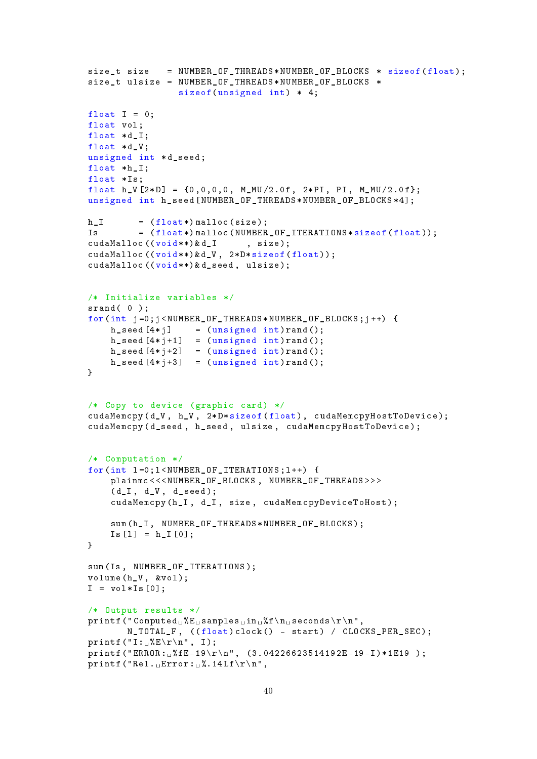```
size_t size = NUMBER_OF_THREADS*NUMBER_OF_BLOCKS * sizeof(float);
size_t ulsize = NUMBER_OF_THREADS * NUMBER_OF_BLOCKS *
                  sizeof (unsigned int) * 4;
float I = 0;
float vol:
float *d I;
float *d V;
unsigned int *d_seed;
float *h_I;
float *Is:
float h_V[2*D] = {0,0,0,0, M_MU/2.0f, 2*PI, PI, M_MU/2.0f};unsigned int h_seed [ NUMBER_OF_THREADS * NUMBER_OF_BLOCKS *4];
h_I = (float*) malloc(size);
Is = (float*) \text{malloc} ( NUMBER\_OF\_ITERATIONS * size of (float));<br>cudaMalloc((void **) &d_I, size);cudaMalloc ((void **)&d I
cudaMalloc ((void **) & d_V, 2* D* sizeof (float));
cudaMalloc ((void **) & d_seed, ulsize);
/* Initialize variables */
srand(0);
for(int j =0; j < NUMBER_OF_THREADS * NUMBER_OF_BLOCKS ; j ++) {
    h seed [4 * j] = (unsigned int) rand ();
    h seed [4 * j + 1] = (unsigned int)rand();
    h seed [4 * j + 2] = (unsigned int) rand();
    h seed [4 * j + 3] = (unsigned int) rand();
}
/* Copy to device (graphic card) */cudaMemcpy (d_V, h_V, 2*D*sizeof (float), cudaMemcpyHostToDevice);
cudaMemcpy ( d_seed , h_seed , ulsize , cudaMemcpyHostToDevice );
/* Computation */
for(int l = 0: l < NUMBER OF ITERATIONS : l + +) {
     plainmc <<< NUMBER OF BLOCKS, NUMBER OF THREADS > > >
     (d_I, d_V, d_seed);cudaMemcpy (h_I, d_I, size, cudaMemcpyDeviceToHost);
     sum ( h_I , NUMBER_OF_THREADS * NUMBER_OF_BLOCKS );
     Is [1] = h_I [0];}
sum ( Is , NUMBER_OF_ITERATIONS );
volume (h_V, & vol);
I = vol*Is[0];/* Output results */
print f("Computed<sub>U</sub>%E<sub>U</sub> samples<sub>U</sub>in<sub>U</sub>%f\n<sub>U</sub>seconds\r\n<math>\n\times</math>N_TOTAL_F, ((float)clock() - start) / CLOCKS_PER_SEC);
printf ("I: _{\sqcup}%E\\r\n", I);
printf ("ERROR:\frac{1}{16} ("ERROR:\frac{1}{16} fE-19 \r\n", (3.04226623514192E-19-I)*1E19 );
printf ("Rel. _ \text{L} Error: _ \text{L}%.14Lf \rightharpoonup r,
```